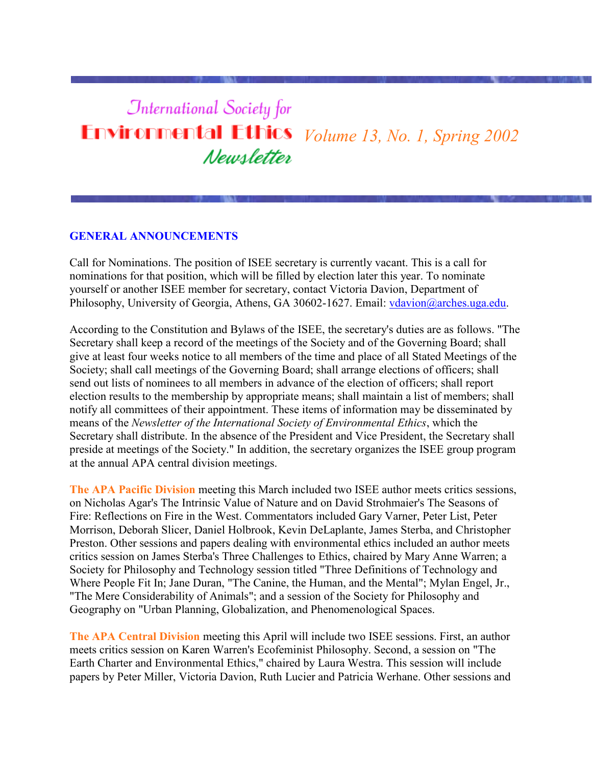# **International Society for Environmental Ethics** *Volume 13, No. 1, Spring 2002* Newsletter

#### **GENERAL ANNOUNCEMENTS**

Call for Nominations. The position of ISEE secretary is currently vacant. This is a call for nominations for that position, which will be filled by election later this year. To nominate yourself or another ISEE member for secretary, contact Victoria Davion, Department of Philosophy, University of Georgia, Athens, GA 30602-1627. Email: [vdavion@arches.uga.edu.](http://www.cep.unt.edu/ISEE/mailtoLvdavion@arches.uga.edu)

According to the Constitution and Bylaws of the ISEE, the secretary's duties are as follows. "The Secretary shall keep a record of the meetings of the Society and of the Governing Board; shall give at least four weeks notice to all members of the time and place of all Stated Meetings of the Society; shall call meetings of the Governing Board; shall arrange elections of officers; shall send out lists of nominees to all members in advance of the election of officers; shall report election results to the membership by appropriate means; shall maintain a list of members; shall notify all committees of their appointment. These items of information may be disseminated by means of the *Newsletter of the International Society of Environmental Ethics*, which the Secretary shall distribute. In the absence of the President and Vice President, the Secretary shall preside at meetings of the Society." In addition, the secretary organizes the ISEE group program at the annual APA central division meetings.

**The APA Pacific Division** meeting this March included two ISEE author meets critics sessions, on Nicholas Agar's The Intrinsic Value of Nature and on David Strohmaier's The Seasons of Fire: Reflections on Fire in the West. Commentators included Gary Varner, Peter List, Peter Morrison, Deborah Slicer, Daniel Holbrook, Kevin DeLaplante, James Sterba, and Christopher Preston. Other sessions and papers dealing with environmental ethics included an author meets critics session on James Sterba's Three Challenges to Ethics, chaired by Mary Anne Warren; a Society for Philosophy and Technology session titled "Three Definitions of Technology and Where People Fit In; Jane Duran, "The Canine, the Human, and the Mental"; Mylan Engel, Jr., "The Mere Considerability of Animals"; and a session of the Society for Philosophy and Geography on "Urban Planning, Globalization, and Phenomenological Spaces.

**The APA Central Division** meeting this April will include two ISEE sessions. First, an author meets critics session on Karen Warren's Ecofeminist Philosophy. Second, a session on "The Earth Charter and Environmental Ethics," chaired by Laura Westra. This session will include papers by Peter Miller, Victoria Davion, Ruth Lucier and Patricia Werhane. Other sessions and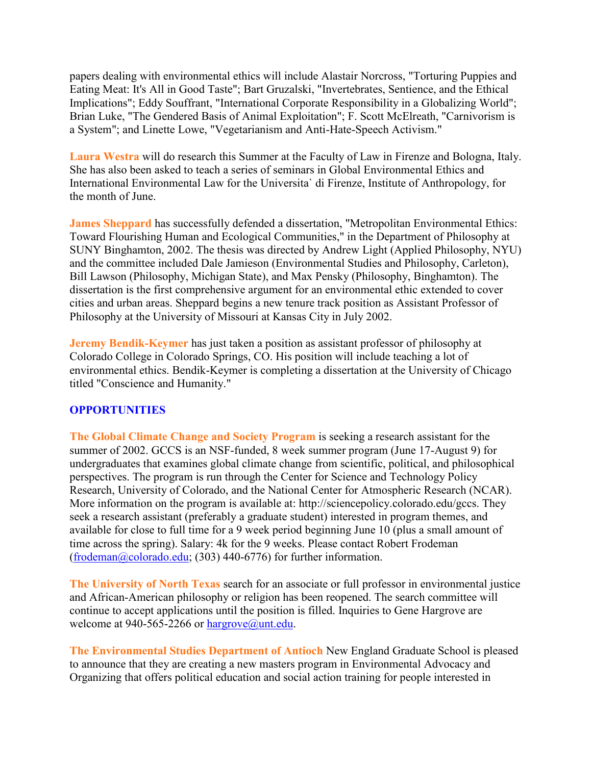papers dealing with environmental ethics will include Alastair Norcross, "Torturing Puppies and Eating Meat: It's All in Good Taste"; Bart Gruzalski, "Invertebrates, Sentience, and the Ethical Implications"; Eddy Souffrant, "International Corporate Responsibility in a Globalizing World"; Brian Luke, "The Gendered Basis of Animal Exploitation"; F. Scott McElreath, "Carnivorism is a System"; and Linette Lowe, "Vegetarianism and Anti-Hate-Speech Activism."

**Laura Westra** will do research this Summer at the Faculty of Law in Firenze and Bologna, Italy. She has also been asked to teach a series of seminars in Global Environmental Ethics and International Environmental Law for the Universita` di Firenze, Institute of Anthropology, for the month of June.

**James Sheppard** has successfully defended a dissertation, "Metropolitan Environmental Ethics: Toward Flourishing Human and Ecological Communities," in the Department of Philosophy at SUNY Binghamton, 2002. The thesis was directed by Andrew Light (Applied Philosophy, NYU) and the committee included Dale Jamieson (Environmental Studies and Philosophy, Carleton), Bill Lawson (Philosophy, Michigan State), and Max Pensky (Philosophy, Binghamton). The dissertation is the first comprehensive argument for an environmental ethic extended to cover cities and urban areas. Sheppard begins a new tenure track position as Assistant Professor of Philosophy at the University of Missouri at Kansas City in July 2002.

**Jeremy Bendik-Keymer** has just taken a position as assistant professor of philosophy at Colorado College in Colorado Springs, CO. His position will include teaching a lot of environmental ethics. Bendik-Keymer is completing a dissertation at the University of Chicago titled "Conscience and Humanity."

#### **OPPORTUNITIES**

**The Global Climate Change and Society Program** is seeking a research assistant for the summer of 2002. GCCS is an NSF-funded, 8 week summer program (June 17-August 9) for undergraduates that examines global climate change from scientific, political, and philosophical perspectives. The program is run through the Center for Science and Technology Policy Research, University of Colorado, and the National Center for Atmospheric Research (NCAR). More information on the program is available at: http://sciencepolicy.colorado.edu/gccs. They seek a research assistant (preferably a graduate student) interested in program themes, and available for close to full time for a 9 week period beginning June 10 (plus a small amount of time across the spring). Salary: 4k for the 9 weeks. Please contact Robert Frodeman (frodeman $@colorado.edu; (303)$  440-6776) for further information.

**The University of North Texas** search for an associate or full professor in environmental justice and African-American philosophy or religion has been reopened. The search committee will continue to accept applications until the position is filled. Inquiries to Gene Hargrove are welcome at 940-565-2266 or [hargrove@unt.edu.](mailto:hargrove@unt.edu)

**The Environmental Studies Department of Antioch** New England Graduate School is pleased to announce that they are creating a new masters program in Environmental Advocacy and Organizing that offers political education and social action training for people interested in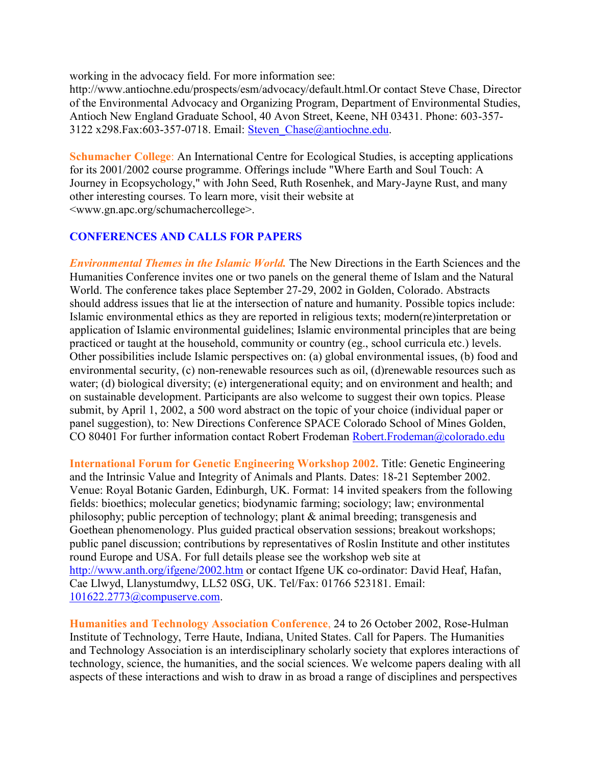working in the advocacy field. For more information see:

http://www.antiochne.edu/prospects/esm/advocacy/default.html.Or contact Steve Chase, Director of the Environmental Advocacy and Organizing Program, Department of Environmental Studies, Antioch New England Graduate School, 40 Avon Street, Keene, NH 03431. Phone: 603-357- 3122 x298.Fax:603-357-0718. Email: [Steven\\_Chase@antiochne.edu.](mailto:Steven_Chase@antiochne.edu)

**Schumacher College:** An International Centre for Ecological Studies, is accepting applications for its 2001/2002 course programme. Offerings include "Where Earth and Soul Touch: A Journey in Ecopsychology," with John Seed, Ruth Rosenhek, and Mary-Jayne Rust, and many other interesting courses. To learn more, visit their website at <www.gn.apc.org/schumachercollege>.

#### **CONFERENCES AND CALLS FOR PAPERS**

*Environmental Themes in the Islamic World.* The New Directions in the Earth Sciences and the Humanities Conference invites one or two panels on the general theme of Islam and the Natural World. The conference takes place September 27-29, 2002 in Golden, Colorado. Abstracts should address issues that lie at the intersection of nature and humanity. Possible topics include: Islamic environmental ethics as they are reported in religious texts; modern(re)interpretation or application of Islamic environmental guidelines; Islamic environmental principles that are being practiced or taught at the household, community or country (eg., school curricula etc.) levels. Other possibilities include Islamic perspectives on: (a) global environmental issues, (b) food and environmental security, (c) non-renewable resources such as oil, (d)renewable resources such as water; (d) biological diversity; (e) intergenerational equity; and on environment and health; and on sustainable development. Participants are also welcome to suggest their own topics. Please submit, by April 1, 2002, a 500 word abstract on the topic of your choice (individual paper or panel suggestion), to: New Directions Conference SPACE Colorado School of Mines Golden, CO 80401 For further information contact Robert Frodeman [Robert.Frodeman@colorado.edu](mailto:Robert.Frodeman@colorado.edu)

**International Forum for Genetic Engineering Workshop 2002.** Title: Genetic Engineering and the Intrinsic Value and Integrity of Animals and Plants. Dates: 18-21 September 2002. Venue: Royal Botanic Garden, Edinburgh, UK. Format: 14 invited speakers from the following fields: bioethics; molecular genetics; biodynamic farming; sociology; law; environmental philosophy; public perception of technology; plant  $\&$  animal breeding; transgenesis and Goethean phenomenology. Plus guided practical observation sessions; breakout workshops; public panel discussion; contributions by representatives of Roslin Institute and other institutes round Europe and USA. For full details please see the workshop web site at <http://www.anth.org/ifgene/2002.htm> or contact Ifgene UK co-ordinator: David Heaf, Hafan, Cae Llwyd, Llanystumdwy, LL52 0SG, UK. Tel/Fax: 01766 523181. Email: [101622.2773@compuserve.com.](mailto:101622.2773@compuserve.com)

**Humanities and Technology Association Conference**, 24 to 26 October 2002, Rose-Hulman Institute of Technology, Terre Haute, Indiana, United States. Call for Papers. The Humanities and Technology Association is an interdisciplinary scholarly society that explores interactions of technology, science, the humanities, and the social sciences. We welcome papers dealing with all aspects of these interactions and wish to draw in as broad a range of disciplines and perspectives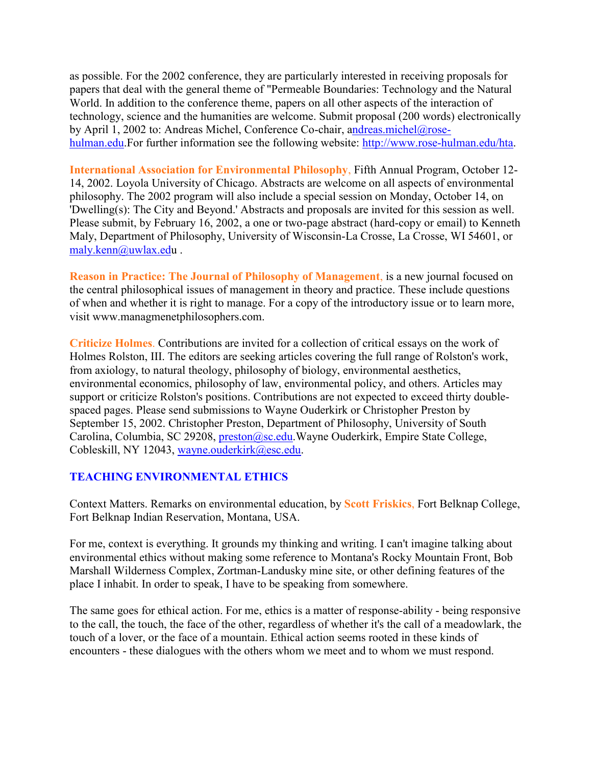as possible. For the 2002 conference, they are particularly interested in receiving proposals for papers that deal with the general theme of "Permeable Boundaries: Technology and the Natural World. In addition to the conference theme, papers on all other aspects of the interaction of technology, science and the humanities are welcome. Submit proposal (200 words) electronically by April 1, 2002 to: Andreas Michel, Conference Co-chair, [andreas.michel@rose](mailto:ndreas.michel@rose-hulman.edu)[hulman.edu.](mailto:ndreas.michel@rose-hulman.edu)For further information see the following website: [http://www.rose-hulman.edu/hta.](http://www.rose-hulman.edu/hta)

**International Association for Environmental Philosophy**, Fifth Annual Program, October 12- 14, 2002. Loyola University of Chicago. Abstracts are welcome on all aspects of environmental philosophy. The 2002 program will also include a special session on Monday, October 14, on 'Dwelling(s): The City and Beyond.' Abstracts and proposals are invited for this session as well. Please submit, by February 16, 2002, a one or two-page abstract (hard-copy or email) to Kenneth Maly, Department of Philosophy, University of Wisconsin-La Crosse, La Crosse, WI 54601, or [maly.kenn@uwlax.edu](mailto:maly.kenn@uwlax.ed) .

**Reason in Practice: The Journal of Philosophy of Management**, is a new journal focused on the central philosophical issues of management in theory and practice. These include questions of when and whether it is right to manage. For a copy of the introductory issue or to learn more, visit www.managmenetphilosophers.com.

**Criticize Holmes**. Contributions are invited for a collection of critical essays on the work of Holmes Rolston, III. The editors are seeking articles covering the full range of Rolston's work, from axiology, to natural theology, philosophy of biology, environmental aesthetics, environmental economics, philosophy of law, environmental policy, and others. Articles may support or criticize Rolston's positions. Contributions are not expected to exceed thirty doublespaced pages. Please send submissions to Wayne Ouderkirk or Christopher Preston by September 15, 2002. Christopher Preston, Department of Philosophy, University of South Carolina, Columbia, SC 29208, [preston@sc.edu.](mailto:preston@sc.edu)Wayne Ouderkirk, Empire State College, Cobleskill, NY 12043, [wayne.ouderkirk@esc.edu.](mailto:wayne.ouderkirk@esc.edu)

#### **TEACHING ENVIRONMENTAL ETHICS**

Context Matters. Remarks on environmental education, by **Scott Friskics**, Fort Belknap College, Fort Belknap Indian Reservation, Montana, USA.

For me, context is everything. It grounds my thinking and writing. I can't imagine talking about environmental ethics without making some reference to Montana's Rocky Mountain Front, Bob Marshall Wilderness Complex, Zortman-Landusky mine site, or other defining features of the place I inhabit. In order to speak, I have to be speaking from somewhere.

The same goes for ethical action. For me, ethics is a matter of response-ability - being responsive to the call, the touch, the face of the other, regardless of whether it's the call of a meadowlark, the touch of a lover, or the face of a mountain. Ethical action seems rooted in these kinds of encounters - these dialogues with the others whom we meet and to whom we must respond.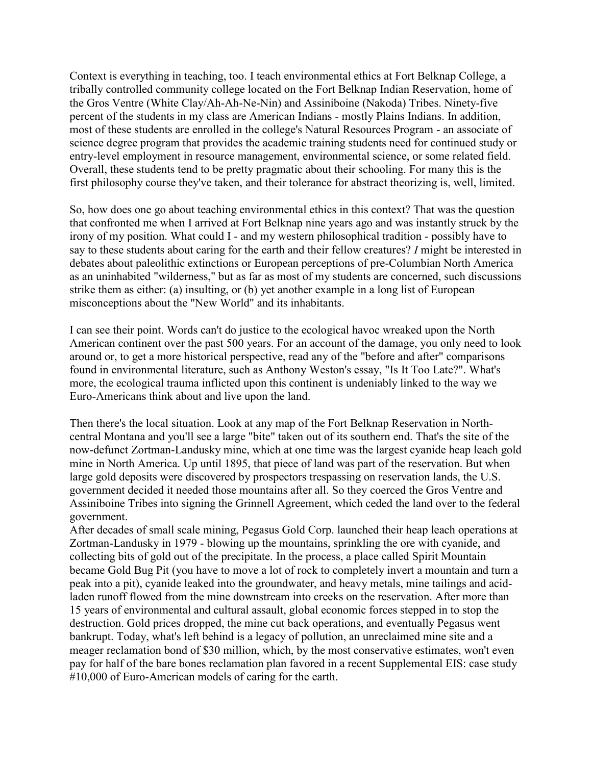Context is everything in teaching, too. I teach environmental ethics at Fort Belknap College, a tribally controlled community college located on the Fort Belknap Indian Reservation, home of the Gros Ventre (White Clay/Ah-Ah-Ne-Nin) and Assiniboine (Nakoda) Tribes. Ninety-five percent of the students in my class are American Indians - mostly Plains Indians. In addition, most of these students are enrolled in the college's Natural Resources Program - an associate of science degree program that provides the academic training students need for continued study or entry-level employment in resource management, environmental science, or some related field. Overall, these students tend to be pretty pragmatic about their schooling. For many this is the first philosophy course they've taken, and their tolerance for abstract theorizing is, well, limited.

So, how does one go about teaching environmental ethics in this context? That was the question that confronted me when I arrived at Fort Belknap nine years ago and was instantly struck by the irony of my position. What could I - and my western philosophical tradition - possibly have to say to these students about caring for the earth and their fellow creatures? *I* might be interested in debates about paleolithic extinctions or European perceptions of pre-Columbian North America as an uninhabited "wilderness," but as far as most of my students are concerned, such discussions strike them as either: (a) insulting, or (b) yet another example in a long list of European misconceptions about the "New World" and its inhabitants.

I can see their point. Words can't do justice to the ecological havoc wreaked upon the North American continent over the past 500 years. For an account of the damage, you only need to look around or, to get a more historical perspective, read any of the "before and after" comparisons found in environmental literature, such as Anthony Weston's essay, "Is It Too Late?". What's more, the ecological trauma inflicted upon this continent is undeniably linked to the way we Euro-Americans think about and live upon the land.

Then there's the local situation. Look at any map of the Fort Belknap Reservation in Northcentral Montana and you'll see a large "bite" taken out of its southern end. That's the site of the now-defunct Zortman-Landusky mine, which at one time was the largest cyanide heap leach gold mine in North America. Up until 1895, that piece of land was part of the reservation. But when large gold deposits were discovered by prospectors trespassing on reservation lands, the U.S. government decided it needed those mountains after all. So they coerced the Gros Ventre and Assiniboine Tribes into signing the Grinnell Agreement, which ceded the land over to the federal government.

After decades of small scale mining, Pegasus Gold Corp. launched their heap leach operations at Zortman-Landusky in 1979 - blowing up the mountains, sprinkling the ore with cyanide, and collecting bits of gold out of the precipitate. In the process, a place called Spirit Mountain became Gold Bug Pit (you have to move a lot of rock to completely invert a mountain and turn a peak into a pit), cyanide leaked into the groundwater, and heavy metals, mine tailings and acidladen runoff flowed from the mine downstream into creeks on the reservation. After more than 15 years of environmental and cultural assault, global economic forces stepped in to stop the destruction. Gold prices dropped, the mine cut back operations, and eventually Pegasus went bankrupt. Today, what's left behind is a legacy of pollution, an unreclaimed mine site and a meager reclamation bond of \$30 million, which, by the most conservative estimates, won't even pay for half of the bare bones reclamation plan favored in a recent Supplemental EIS: case study #10,000 of Euro-American models of caring for the earth.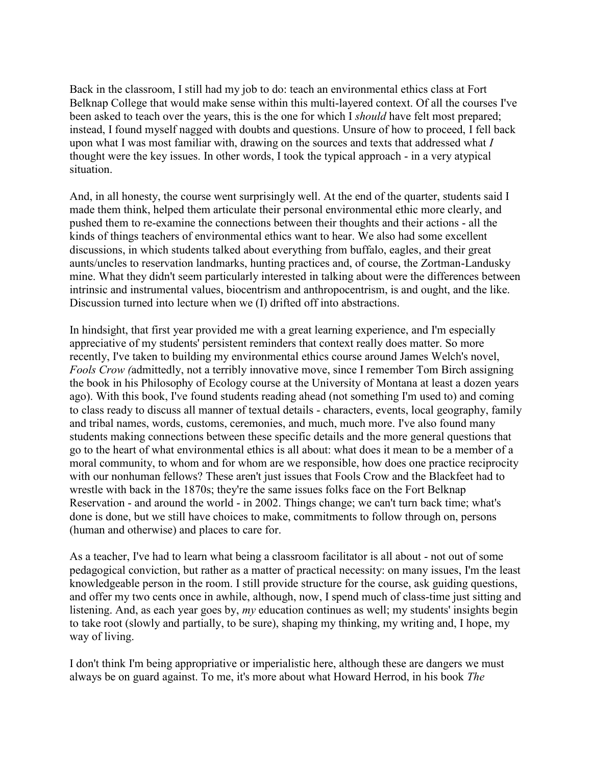Back in the classroom, I still had my job to do: teach an environmental ethics class at Fort Belknap College that would make sense within this multi-layered context. Of all the courses I've been asked to teach over the years, this is the one for which I *should* have felt most prepared; instead, I found myself nagged with doubts and questions. Unsure of how to proceed, I fell back upon what I was most familiar with, drawing on the sources and texts that addressed what *I* thought were the key issues. In other words, I took the typical approach - in a very atypical situation.

And, in all honesty, the course went surprisingly well. At the end of the quarter, students said I made them think, helped them articulate their personal environmental ethic more clearly, and pushed them to re-examine the connections between their thoughts and their actions - all the kinds of things teachers of environmental ethics want to hear. We also had some excellent discussions, in which students talked about everything from buffalo, eagles, and their great aunts/uncles to reservation landmarks, hunting practices and, of course, the Zortman-Landusky mine. What they didn't seem particularly interested in talking about were the differences between intrinsic and instrumental values, biocentrism and anthropocentrism, is and ought, and the like. Discussion turned into lecture when we (I) drifted off into abstractions.

In hindsight, that first year provided me with a great learning experience, and I'm especially appreciative of my students' persistent reminders that context really does matter. So more recently, I've taken to building my environmental ethics course around James Welch's novel, *Fools Crow (*admittedly, not a terribly innovative move, since I remember Tom Birch assigning the book in his Philosophy of Ecology course at the University of Montana at least a dozen years ago). With this book, I've found students reading ahead (not something I'm used to) and coming to class ready to discuss all manner of textual details - characters, events, local geography, family and tribal names, words, customs, ceremonies, and much, much more. I've also found many students making connections between these specific details and the more general questions that go to the heart of what environmental ethics is all about: what does it mean to be a member of a moral community, to whom and for whom are we responsible, how does one practice reciprocity with our nonhuman fellows? These aren't just issues that Fools Crow and the Blackfeet had to wrestle with back in the 1870s; they're the same issues folks face on the Fort Belknap Reservation - and around the world - in 2002. Things change; we can't turn back time; what's done is done, but we still have choices to make, commitments to follow through on, persons (human and otherwise) and places to care for.

As a teacher, I've had to learn what being a classroom facilitator is all about - not out of some pedagogical conviction, but rather as a matter of practical necessity: on many issues, I'm the least knowledgeable person in the room. I still provide structure for the course, ask guiding questions, and offer my two cents once in awhile, although, now, I spend much of class-time just sitting and listening. And, as each year goes by, *my* education continues as well; my students' insights begin to take root (slowly and partially, to be sure), shaping my thinking, my writing and, I hope, my way of living.

I don't think I'm being appropriative or imperialistic here, although these are dangers we must always be on guard against. To me, it's more about what Howard Herrod, in his book *The*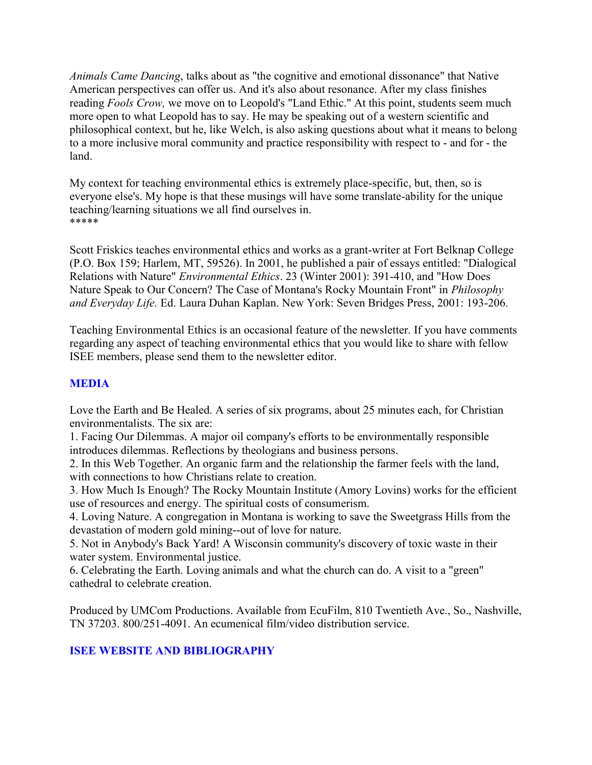*Animals Came Dancing*, talks about as "the cognitive and emotional dissonance" that Native American perspectives can offer us. And it's also about resonance. After my class finishes reading *Fools Crow,* we move on to Leopold's "Land Ethic." At this point, students seem much more open to what Leopold has to say. He may be speaking out of a western scientific and philosophical context, but he, like Welch, is also asking questions about what it means to belong to a more inclusive moral community and practice responsibility with respect to - and for - the land.

My context for teaching environmental ethics is extremely place-specific, but, then, so is everyone else's. My hope is that these musings will have some translate-ability for the unique teaching/learning situations we all find ourselves in. \*\*\*\*\*

Scott Friskics teaches environmental ethics and works as a grant-writer at Fort Belknap College (P.O. Box 159; Harlem, MT, 59526). In 2001, he published a pair of essays entitled: "Dialogical Relations with Nature" *Environmental Ethics*. 23 (Winter 2001): 391-410, and "How Does Nature Speak to Our Concern? The Case of Montana's Rocky Mountain Front" in *Philosophy and Everyday Life.* Ed. Laura Duhan Kaplan. New York: Seven Bridges Press, 2001: 193-206.

Teaching Environmental Ethics is an occasional feature of the newsletter. If you have comments regarding any aspect of teaching environmental ethics that you would like to share with fellow ISEE members, please send them to the newsletter editor.

### **MEDIA**

Love the Earth and Be Healed. A series of six programs, about 25 minutes each, for Christian environmentalists. The six are:

1. Facing Our Dilemmas. A major oil company's efforts to be environmentally responsible introduces dilemmas. Reflections by theologians and business persons.

2. In this Web Together. An organic farm and the relationship the farmer feels with the land, with connections to how Christians relate to creation.

3. How Much Is Enough? The Rocky Mountain Institute (Amory Lovins) works for the efficient use of resources and energy. The spiritual costs of consumerism.

4. Loving Nature. A congregation in Montana is working to save the Sweetgrass Hills from the devastation of modern gold mining--out of love for nature.

5. Not in Anybody's Back Yard! A Wisconsin community's discovery of toxic waste in their water system. Environmental justice.

6. Celebrating the Earth. Loving animals and what the church can do. A visit to a "green" cathedral to celebrate creation.

Produced by UMCom Productions. Available from EcuFilm, 810 Twentieth Ave., So., Nashville, TN 37203. 800/251-4091. An ecumenical film/video distribution service.

#### **ISEE WEBSITE AND BIBLIOGRAPHY**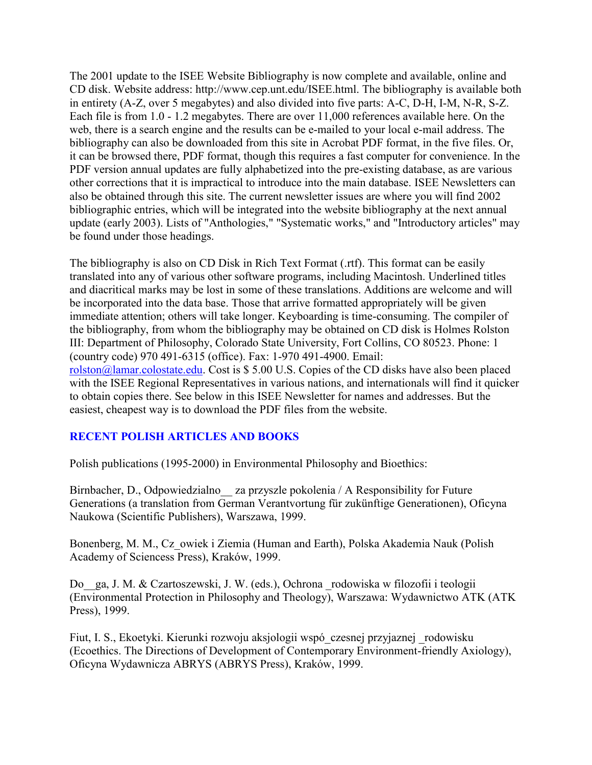The 2001 update to the ISEE Website Bibliography is now complete and available, online and CD disk. Website address: http://www.cep.unt.edu/ISEE.html. The bibliography is available both in entirety (A-Z, over 5 megabytes) and also divided into five parts: A-C, D-H, I-M, N-R, S-Z. Each file is from 1.0 - 1.2 megabytes. There are over 11,000 references available here. On the web, there is a search engine and the results can be e-mailed to your local e-mail address. The bibliography can also be downloaded from this site in Acrobat PDF format, in the five files. Or, it can be browsed there, PDF format, though this requires a fast computer for convenience. In the PDF version annual updates are fully alphabetized into the pre-existing database, as are various other corrections that it is impractical to introduce into the main database. ISEE Newsletters can also be obtained through this site. The current newsletter issues are where you will find 2002 bibliographic entries, which will be integrated into the website bibliography at the next annual update (early 2003). Lists of "Anthologies," "Systematic works," and "Introductory articles" may be found under those headings.

The bibliography is also on CD Disk in Rich Text Format (.rtf). This format can be easily translated into any of various other software programs, including Macintosh. Underlined titles and diacritical marks may be lost in some of these translations. Additions are welcome and will be incorporated into the data base. Those that arrive formatted appropriately will be given immediate attention; others will take longer. Keyboarding is time-consuming. The compiler of the bibliography, from whom the bibliography may be obtained on CD disk is Holmes Rolston III: Department of Philosophy, Colorado State University, Fort Collins, CO 80523. Phone: 1 (country code) 970 491-6315 (office). Fax: 1-970 491-4900. Email: [rolston@lamar.colostate.edu.](mailto:rolston@lamar.colostate.edu) Cost is \$ 5.00 U.S. Copies of the CD disks have also been placed with the ISEE Regional Representatives in various nations, and internationals will find it quicker to obtain copies there. See below in this ISEE Newsletter for names and addresses. But the easiest, cheapest way is to download the PDF files from the website.

#### **RECENT POLISH ARTICLES AND BOOKS**

Polish publications (1995-2000) in Environmental Philosophy and Bioethics:

Birnbacher, D., Odpowiedzialno za przyszle pokolenia / A Responsibility for Future Generations (a translation from German Verantvortung für zukünftige Generationen), Oficyna Naukowa (Scientific Publishers), Warszawa, 1999.

Bonenberg, M. M., Cz\_owiek i Ziemia (Human and Earth), Polska Akademia Nauk (Polish Academy of Sciencess Press), Kraków, 1999.

Do\_\_ga, J. M. & Czartoszewski, J. W. (eds.), Ochrona \_rodowiska w filozofii i teologii (Environmental Protection in Philosophy and Theology), Warszawa: Wydawnictwo ATK (ATK Press), 1999.

Fiut, I. S., Ekoetyki. Kierunki rozwoju aksjologii wspó\_czesnej przyjaznej \_rodowisku (Ecoethics. The Directions of Development of Contemporary Environment-friendly Axiology), Oficyna Wydawnicza ABRYS (ABRYS Press), Kraków, 1999.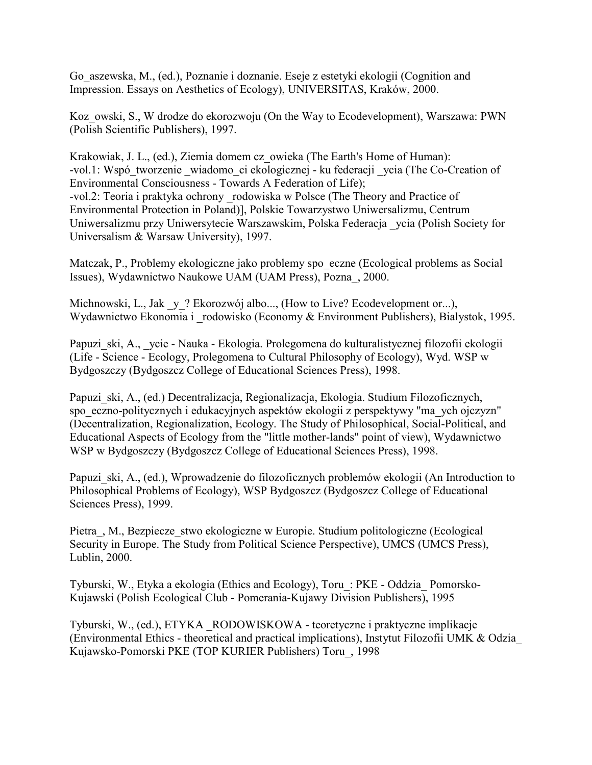Go\_aszewska, M., (ed.), Poznanie i doznanie. Eseje z estetyki ekologii (Cognition and Impression. Essays on Aesthetics of Ecology), UNIVERSITAS, Kraków, 2000.

Koz\_owski, S., W drodze do ekorozwoju (On the Way to Ecodevelopment), Warszawa: PWN (Polish Scientific Publishers), 1997.

Krakowiak, J. L., (ed.), Ziemia domem cz\_owieka (The Earth's Home of Human): -vol.1: Wspó\_tworzenie \_wiadomo\_ci ekologicznej - ku federacji \_ycia (The Co-Creation of Environmental Consciousness - Towards A Federation of Life); -vol.2: Teoria i praktyka ochrony \_rodowiska w Polsce (The Theory and Practice of Environmental Protection in Poland)], Polskie Towarzystwo Uniwersalizmu, Centrum Uniwersalizmu przy Uniwersytecie Warszawskim, Polska Federacja \_ycia (Polish Society for Universalism & Warsaw University), 1997.

Matczak, P., Problemy ekologiczne jako problemy spo\_eczne (Ecological problems as Social Issues), Wydawnictwo Naukowe UAM (UAM Press), Pozna\_, 2000.

Michnowski, L., Jak y? Ekorozwój albo..., (How to Live? Ecodevelopment or...), Wydawnictwo Ekonomia i \_rodowisko (Economy & Environment Publishers), Bialystok, 1995.

Papuzi ski, A., ycie - Nauka - Ekologia. Prolegomena do kulturalistycznej filozofii ekologii (Life - Science - Ecology, Prolegomena to Cultural Philosophy of Ecology), Wyd. WSP w Bydgoszczy (Bydgoszcz College of Educational Sciences Press), 1998.

Papuzi ski, A., (ed.) Decentralizacja, Regionalizacja, Ekologia. Studium Filozoficznych, spo\_eczno-politycznych i edukacyjnych aspektów ekologii z perspektywy "ma\_ych ojczyzn" (Decentralization, Regionalization, Ecology. The Study of Philosophical, Social-Political, and Educational Aspects of Ecology from the "little mother-lands" point of view), Wydawnictwo WSP w Bydgoszczy (Bydgoszcz College of Educational Sciences Press), 1998.

Papuzi ski, A., (ed.), Wprowadzenie do filozoficznych problemów ekologii (An Introduction to Philosophical Problems of Ecology), WSP Bydgoszcz (Bydgoszcz College of Educational Sciences Press), 1999.

Pietra, M., Bezpiecze stwo ekologiczne w Europie. Studium politologiczne (Ecological Security in Europe. The Study from Political Science Perspective), UMCS (UMCS Press), Lublin, 2000.

Tyburski, W., Etyka a ekologia (Ethics and Ecology), Toru\_: PKE - Oddzia\_ Pomorsko-Kujawski (Polish Ecological Club - Pomerania-Kujawy Division Publishers), 1995

Tyburski, W., (ed.), ETYKA \_RODOWISKOWA - teoretyczne i praktyczne implikacje (Environmental Ethics - theoretical and practical implications), Instytut Filozofii UMK & Odzia\_ Kujawsko-Pomorski PKE (TOP KURIER Publishers) Toru\_, 1998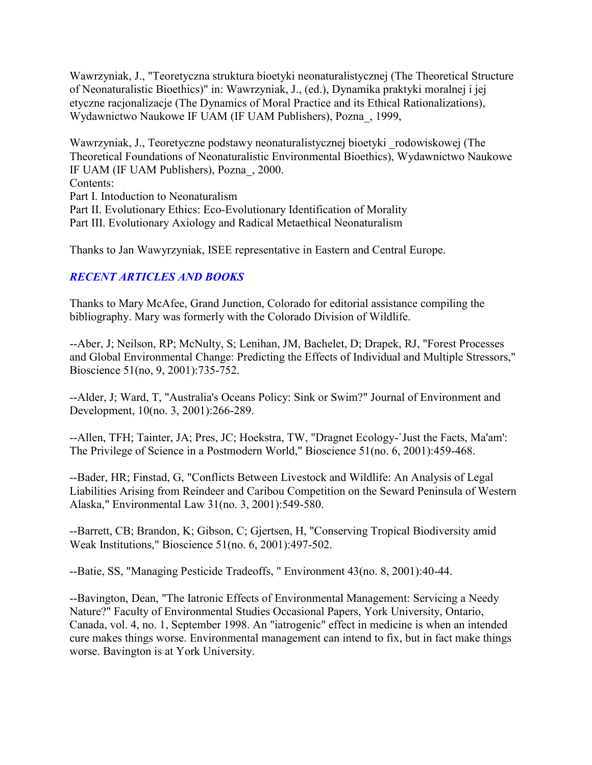Wawrzyniak, J., "Teoretyczna struktura bioetyki neonaturalistycznej (The Theoretical Structure of Neonaturalistic Bioethics)" in: Wawrzyniak, J., (ed.), Dynamika praktyki moralnej i jej etyczne racjonalizacje (The Dynamics of Moral Practice and its Ethical Rationalizations), Wydawnictwo Naukowe IF UAM (IF UAM Publishers), Pozna\_, 1999,

Wawrzyniak, J., Teoretyczne podstawy neonaturalistycznej bioetyki \_rodowiskowej (The Theoretical Foundations of Neonaturalistic Environmental Bioethics), Wydawnictwo Naukowe IF UAM (IF UAM Publishers), Pozna\_, 2000. Contents: Part I. Intoduction to Neonaturalism Part II. Evolutionary Ethics: Eco-Evolutionary Identification of Morality Part III. Evolutionary Axiology and Radical Metaethical Neonaturalism

Thanks to Jan Wawyrzyniak, ISEE representative in Eastern and Central Europe.

## *RECENT ARTICLES AND BOOKS*

Thanks to Mary McAfee, Grand Junction, Colorado for editorial assistance compiling the bibliography. Mary was formerly with the Colorado Division of Wildlife.

--Aber, J; Neilson, RP; McNulty, S; Lenihan, JM, Bachelet, D; Drapek, RJ, "Forest Processes and Global Environmental Change: Predicting the Effects of Individual and Multiple Stressors," Bioscience 51(no, 9, 2001):735-752.

--Alder, J; Ward, T, "Australia's Oceans Policy: Sink or Swim?" Journal of Environment and Development, 10(no. 3, 2001):266-289.

--Allen, TFH; Tainter, JA; Pres, JC; Hoekstra, TW, "Dragnet Ecology-`Just the Facts, Ma'am': The Privilege of Science in a Postmodern World," Bioscience 51(no. 6, 2001):459-468.

--Bader, HR; Finstad, G, "Conflicts Between Livestock and Wildlife: An Analysis of Legal Liabilities Arising from Reindeer and Caribou Competition on the Seward Peninsula of Western Alaska," Environmental Law 31(no. 3, 2001):549-580.

--Barrett, CB; Brandon, K; Gibson, C; Gjertsen, H, "Conserving Tropical Biodiversity amid Weak Institutions," Bioscience 51(no. 6, 2001):497-502.

--Batie, SS, "Managing Pesticide Tradeoffs, " Environment 43(no. 8, 2001):40-44.

--Bavington, Dean, "The Iatronic Effects of Environmental Management: Servicing a Needy Nature?" Faculty of Environmental Studies Occasional Papers, York University, Ontario, Canada, vol. 4, no. 1, September 1998. An "iatrogenic" effect in medicine is when an intended cure makes things worse. Environmental management can intend to fix, but in fact make things worse. Bavington is at York University.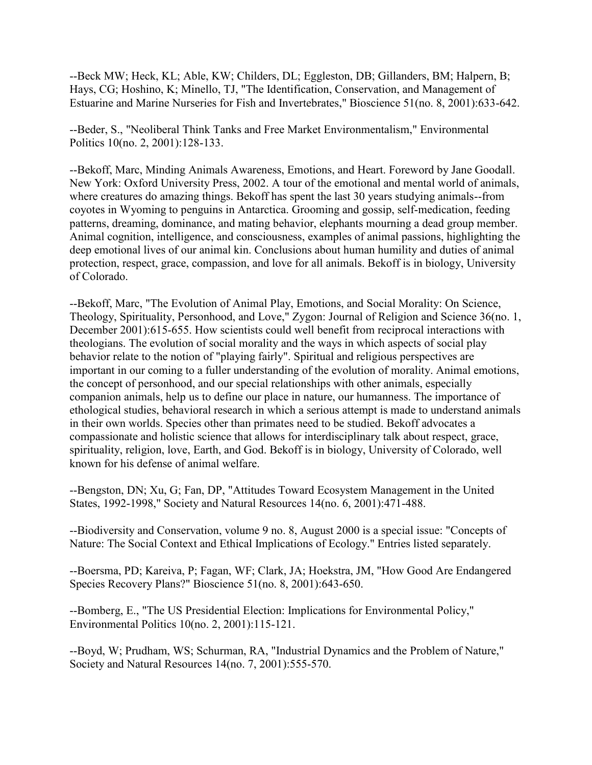--Beck MW; Heck, KL; Able, KW; Childers, DL; Eggleston, DB; Gillanders, BM; Halpern, B; Hays, CG; Hoshino, K; Minello, TJ, "The Identification, Conservation, and Management of Estuarine and Marine Nurseries for Fish and Invertebrates," Bioscience 51(no. 8, 2001):633-642.

--Beder, S., "Neoliberal Think Tanks and Free Market Environmentalism," Environmental Politics 10(no. 2, 2001):128-133.

--Bekoff, Marc, Minding Animals Awareness, Emotions, and Heart. Foreword by Jane Goodall. New York: Oxford University Press, 2002. A tour of the emotional and mental world of animals, where creatures do amazing things. Bekoff has spent the last 30 years studying animals--from coyotes in Wyoming to penguins in Antarctica. Grooming and gossip, self-medication, feeding patterns, dreaming, dominance, and mating behavior, elephants mourning a dead group member. Animal cognition, intelligence, and consciousness, examples of animal passions, highlighting the deep emotional lives of our animal kin. Conclusions about human humility and duties of animal protection, respect, grace, compassion, and love for all animals. Bekoff is in biology, University of Colorado.

--Bekoff, Marc, "The Evolution of Animal Play, Emotions, and Social Morality: On Science, Theology, Spirituality, Personhood, and Love," Zygon: Journal of Religion and Science 36(no. 1, December 2001):615-655. How scientists could well benefit from reciprocal interactions with theologians. The evolution of social morality and the ways in which aspects of social play behavior relate to the notion of "playing fairly". Spiritual and religious perspectives are important in our coming to a fuller understanding of the evolution of morality. Animal emotions, the concept of personhood, and our special relationships with other animals, especially companion animals, help us to define our place in nature, our humanness. The importance of ethological studies, behavioral research in which a serious attempt is made to understand animals in their own worlds. Species other than primates need to be studied. Bekoff advocates a compassionate and holistic science that allows for interdisciplinary talk about respect, grace, spirituality, religion, love, Earth, and God. Bekoff is in biology, University of Colorado, well known for his defense of animal welfare.

--Bengston, DN; Xu, G; Fan, DP, "Attitudes Toward Ecosystem Management in the United States, 1992-1998," Society and Natural Resources 14(no. 6, 2001):471-488.

--Biodiversity and Conservation, volume 9 no. 8, August 2000 is a special issue: "Concepts of Nature: The Social Context and Ethical Implications of Ecology." Entries listed separately.

--Boersma, PD; Kareiva, P; Fagan, WF; Clark, JA; Hoekstra, JM, "How Good Are Endangered Species Recovery Plans?" Bioscience 51(no. 8, 2001):643-650.

--Bomberg, E., "The US Presidential Election: Implications for Environmental Policy," Environmental Politics 10(no. 2, 2001):115-121.

--Boyd, W; Prudham, WS; Schurman, RA, "Industrial Dynamics and the Problem of Nature," Society and Natural Resources 14(no. 7, 2001):555-570.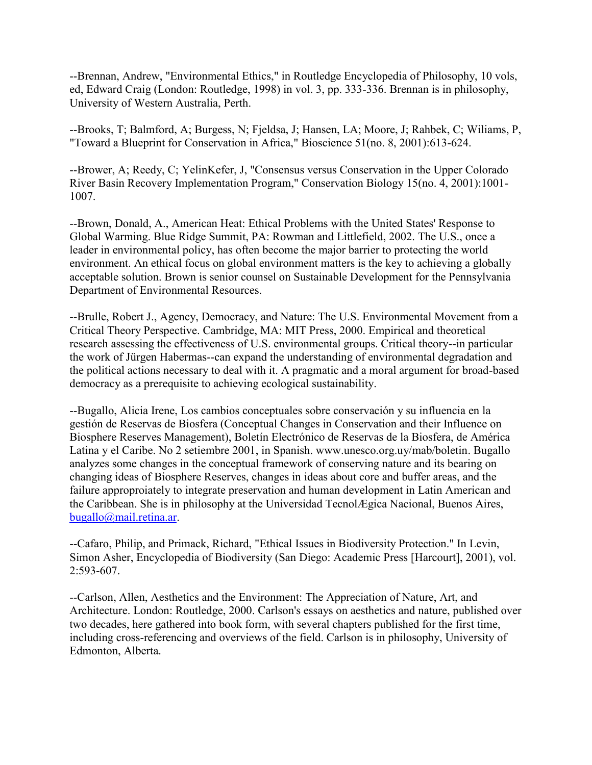--Brennan, Andrew, "Environmental Ethics," in Routledge Encyclopedia of Philosophy, 10 vols, ed, Edward Craig (London: Routledge, 1998) in vol. 3, pp. 333-336. Brennan is in philosophy, University of Western Australia, Perth.

--Brooks, T; Balmford, A; Burgess, N; Fjeldsa, J; Hansen, LA; Moore, J; Rahbek, C; Wiliams, P, "Toward a Blueprint for Conservation in Africa," Bioscience 51(no. 8, 2001):613-624.

--Brower, A; Reedy, C; YelinKefer, J, "Consensus versus Conservation in the Upper Colorado River Basin Recovery Implementation Program," Conservation Biology 15(no. 4, 2001):1001- 1007.

--Brown, Donald, A., American Heat: Ethical Problems with the United States' Response to Global Warming. Blue Ridge Summit, PA: Rowman and Littlefield, 2002. The U.S., once a leader in environmental policy, has often become the major barrier to protecting the world environment. An ethical focus on global environment matters is the key to achieving a globally acceptable solution. Brown is senior counsel on Sustainable Development for the Pennsylvania Department of Environmental Resources.

--Brulle, Robert J., Agency, Democracy, and Nature: The U.S. Environmental Movement from a Critical Theory Perspective. Cambridge, MA: MIT Press, 2000. Empirical and theoretical research assessing the effectiveness of U.S. environmental groups. Critical theory--in particular the work of Jürgen Habermas--can expand the understanding of environmental degradation and the political actions necessary to deal with it. A pragmatic and a moral argument for broad-based democracy as a prerequisite to achieving ecological sustainability.

--Bugallo, Alicia Irene, Los cambios conceptuales sobre conservación y su influencia en la gestión de Reservas de Biosfera (Conceptual Changes in Conservation and their Influence on Biosphere Reserves Management), Boletín Electrónico de Reservas de la Biosfera, de América Latina y el Caribe. No 2 setiembre 2001, in Spanish. www.unesco.org.uy/mab/boletin. Bugallo analyzes some changes in the conceptual framework of conserving nature and its bearing on changing ideas of Biosphere Reserves, changes in ideas about core and buffer areas, and the failure approproiately to integrate preservation and human development in Latin American and the Caribbean. She is in philosophy at the Universidad TecnolÆgica Nacional, Buenos Aires, [bugallo@mail.retina.ar.](mailto:bugallo@mail.retina.ar)

--Cafaro, Philip, and Primack, Richard, "Ethical Issues in Biodiversity Protection." In Levin, Simon Asher, Encyclopedia of Biodiversity (San Diego: Academic Press [Harcourt], 2001), vol. 2:593-607.

--Carlson, Allen, Aesthetics and the Environment: The Appreciation of Nature, Art, and Architecture. London: Routledge, 2000. Carlson's essays on aesthetics and nature, published over two decades, here gathered into book form, with several chapters published for the first time, including cross-referencing and overviews of the field. Carlson is in philosophy, University of Edmonton, Alberta.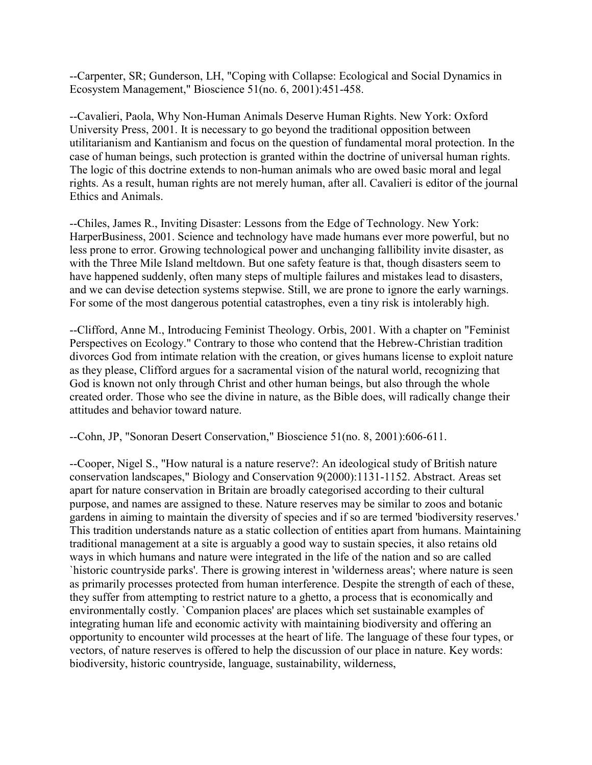--Carpenter, SR; Gunderson, LH, "Coping with Collapse: Ecological and Social Dynamics in Ecosystem Management," Bioscience 51(no. 6, 2001):451-458.

--Cavalieri, Paola, Why Non-Human Animals Deserve Human Rights. New York: Oxford University Press, 2001. It is necessary to go beyond the traditional opposition between utilitarianism and Kantianism and focus on the question of fundamental moral protection. In the case of human beings, such protection is granted within the doctrine of universal human rights. The logic of this doctrine extends to non-human animals who are owed basic moral and legal rights. As a result, human rights are not merely human, after all. Cavalieri is editor of the journal Ethics and Animals.

--Chiles, James R., Inviting Disaster: Lessons from the Edge of Technology. New York: HarperBusiness, 2001. Science and technology have made humans ever more powerful, but no less prone to error. Growing technological power and unchanging fallibility invite disaster, as with the Three Mile Island meltdown. But one safety feature is that, though disasters seem to have happened suddenly, often many steps of multiple failures and mistakes lead to disasters, and we can devise detection systems stepwise. Still, we are prone to ignore the early warnings. For some of the most dangerous potential catastrophes, even a tiny risk is intolerably high.

--Clifford, Anne M., Introducing Feminist Theology. Orbis, 2001. With a chapter on "Feminist Perspectives on Ecology." Contrary to those who contend that the Hebrew-Christian tradition divorces God from intimate relation with the creation, or gives humans license to exploit nature as they please, Clifford argues for a sacramental vision of the natural world, recognizing that God is known not only through Christ and other human beings, but also through the whole created order. Those who see the divine in nature, as the Bible does, will radically change their attitudes and behavior toward nature.

--Cohn, JP, "Sonoran Desert Conservation," Bioscience 51(no. 8, 2001):606-611.

--Cooper, Nigel S., "How natural is a nature reserve?: An ideological study of British nature conservation landscapes," Biology and Conservation 9(2000):1131-1152. Abstract. Areas set apart for nature conservation in Britain are broadly categorised according to their cultural purpose, and names are assigned to these. Nature reserves may be similar to zoos and botanic gardens in aiming to maintain the diversity of species and if so are termed 'biodiversity reserves.' This tradition understands nature as a static collection of entities apart from humans. Maintaining traditional management at a site is arguably a good way to sustain species, it also retains old ways in which humans and nature were integrated in the life of the nation and so are called `historic countryside parks'. There is growing interest in 'wilderness areas'; where nature is seen as primarily processes protected from human interference. Despite the strength of each of these, they suffer from attempting to restrict nature to a ghetto, a process that is economically and environmentally costly. `Companion places' are places which set sustainable examples of integrating human life and economic activity with maintaining biodiversity and offering an opportunity to encounter wild processes at the heart of life. The language of these four types, or vectors, of nature reserves is offered to help the discussion of our place in nature. Key words: biodiversity, historic countryside, language, sustainability, wilderness,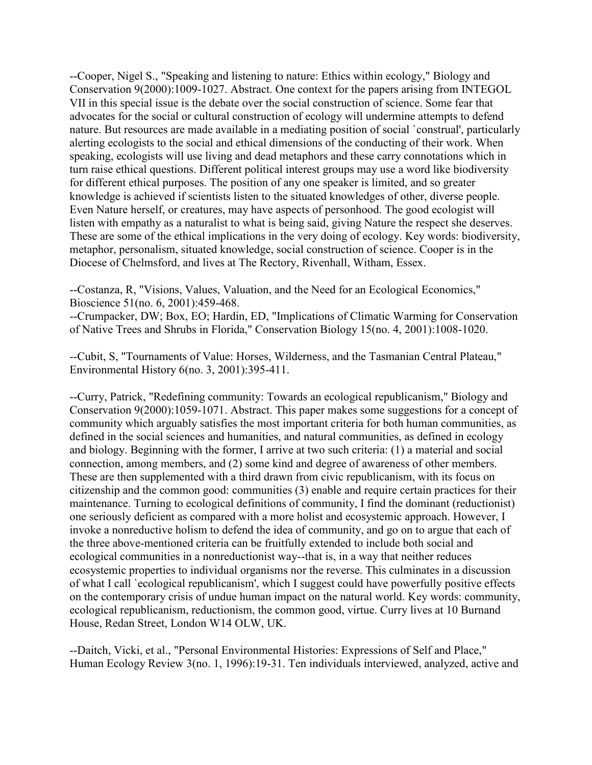--Cooper, Nigel S., "Speaking and listening to nature: Ethics within ecology," Biology and Conservation 9(2000):1009-1027. Abstract. One context for the papers arising from INTEGOL VII in this special issue is the debate over the social construction of science. Some fear that advocates for the social or cultural construction of ecology will undermine attempts to defend nature. But resources are made available in a mediating position of social `construal', particularly alerting ecologists to the social and ethical dimensions of the conducting of their work. When speaking, ecologists will use living and dead metaphors and these carry connotations which in turn raise ethical questions. Different political interest groups may use a word like biodiversity for different ethical purposes. The position of any one speaker is limited, and so greater knowledge is achieved if scientists listen to the situated knowledges of other, diverse people. Even Nature herself, or creatures, may have aspects of personhood. The good ecologist will listen with empathy as a naturalist to what is being said, giving Nature the respect she deserves. These are some of the ethical implications in the very doing of ecology. Key words: biodiversity, metaphor, personalism, situated knowledge, social construction of science. Cooper is in the Diocese of Chelmsford, and lives at The Rectory, Rivenhall, Witham, Essex.

--Costanza, R, "Visions, Values, Valuation, and the Need for an Ecological Economics," Bioscience 51(no. 6, 2001):459-468.

--Crumpacker, DW; Box, EO; Hardin, ED, "Implications of Climatic Warming for Conservation of Native Trees and Shrubs in Florida," Conservation Biology 15(no. 4, 2001):1008-1020.

--Cubit, S, "Tournaments of Value: Horses, Wilderness, and the Tasmanian Central Plateau," Environmental History 6(no. 3, 2001):395-411.

--Curry, Patrick, "Redefining community: Towards an ecological republicanism," Biology and Conservation 9(2000):1059-1071. Abstract. This paper makes some suggestions for a concept of community which arguably satisfies the most important criteria for both human communities, as defined in the social sciences and humanities, and natural communities, as defined in ecology and biology. Beginning with the former, I arrive at two such criteria: (1) a material and social connection, among members, and (2) some kind and degree of awareness of other members. These are then supplemented with a third drawn from civic republicanism, with its focus on citizenship and the common good: communities (3) enable and require certain practices for their maintenance. Turning to ecological definitions of community, I find the dominant (reductionist) one seriously deficient as compared with a more holist and ecosystemic approach. However, I invoke a nonreductive holism to defend the idea of community, and go on to argue that each of the three above-mentioned criteria can be fruitfully extended to include both social and ecological communities in a nonreductionist way--that is, in a way that neither reduces ecosystemic properties to individual organisms nor the reverse. This culminates in a discussion of what I call `ecological republicanism', which I suggest could have powerfully positive effects on the contemporary crisis of undue human impact on the natural world. Key words: community, ecological republicanism, reductionism, the common good, virtue. Curry lives at 10 Burnand House, Redan Street, London W14 OLW, UK.

--Daitch, Vicki, et al., "Personal Environmental Histories: Expressions of Self and Place," Human Ecology Review 3(no. 1, 1996):19-31. Ten individuals interviewed, analyzed, active and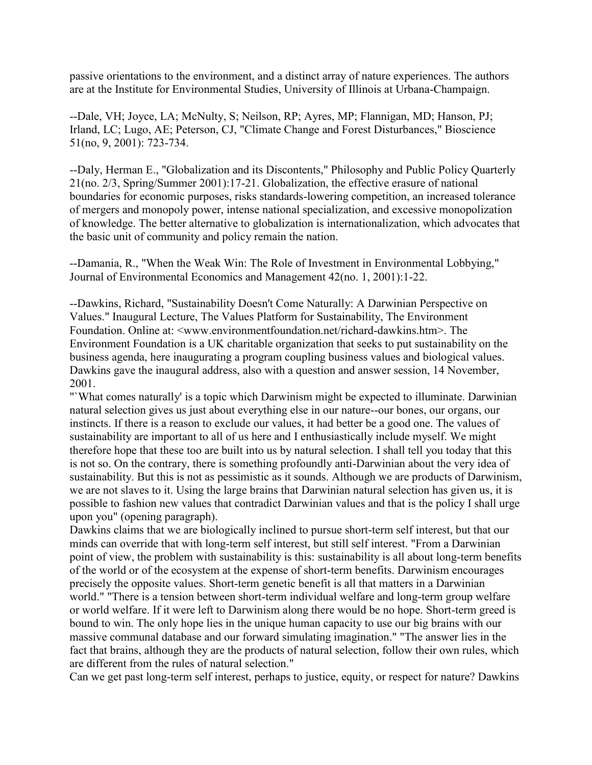passive orientations to the environment, and a distinct array of nature experiences. The authors are at the Institute for Environmental Studies, University of Illinois at Urbana-Champaign.

--Dale, VH; Joyce, LA; McNulty, S; Neilson, RP; Ayres, MP; Flannigan, MD; Hanson, PJ; Irland, LC; Lugo, AE; Peterson, CJ, "Climate Change and Forest Disturbances," Bioscience 51(no, 9, 2001): 723-734.

--Daly, Herman E., "Globalization and its Discontents," Philosophy and Public Policy Quarterly 21(no. 2/3, Spring/Summer 2001):17-21. Globalization, the effective erasure of national boundaries for economic purposes, risks standards-lowering competition, an increased tolerance of mergers and monopoly power, intense national specialization, and excessive monopolization of knowledge. The better alternative to globalization is internationalization, which advocates that the basic unit of community and policy remain the nation.

--Damania, R., "When the Weak Win: The Role of Investment in Environmental Lobbying," Journal of Environmental Economics and Management 42(no. 1, 2001):1-22.

--Dawkins, Richard, "Sustainability Doesn't Come Naturally: A Darwinian Perspective on Values." Inaugural Lecture, The Values Platform for Sustainability, The Environment Foundation. Online at: <www.environmentfoundation.net/richard-dawkins.htm>. The Environment Foundation is a UK charitable organization that seeks to put sustainability on the business agenda, here inaugurating a program coupling business values and biological values. Dawkins gave the inaugural address, also with a question and answer session, 14 November, 2001.

"`What comes naturally' is a topic which Darwinism might be expected to illuminate. Darwinian natural selection gives us just about everything else in our nature--our bones, our organs, our instincts. If there is a reason to exclude our values, it had better be a good one. The values of sustainability are important to all of us here and I enthusiastically include myself. We might therefore hope that these too are built into us by natural selection. I shall tell you today that this is not so. On the contrary, there is something profoundly anti-Darwinian about the very idea of sustainability. But this is not as pessimistic as it sounds. Although we are products of Darwinism, we are not slaves to it. Using the large brains that Darwinian natural selection has given us, it is possible to fashion new values that contradict Darwinian values and that is the policy I shall urge upon you" (opening paragraph).

Dawkins claims that we are biologically inclined to pursue short-term self interest, but that our minds can override that with long-term self interest, but still self interest. "From a Darwinian point of view, the problem with sustainability is this: sustainability is all about long-term benefits of the world or of the ecosystem at the expense of short-term benefits. Darwinism encourages precisely the opposite values. Short-term genetic benefit is all that matters in a Darwinian world." "There is a tension between short-term individual welfare and long-term group welfare or world welfare. If it were left to Darwinism along there would be no hope. Short-term greed is bound to win. The only hope lies in the unique human capacity to use our big brains with our massive communal database and our forward simulating imagination." "The answer lies in the fact that brains, although they are the products of natural selection, follow their own rules, which are different from the rules of natural selection."

Can we get past long-term self interest, perhaps to justice, equity, or respect for nature? Dawkins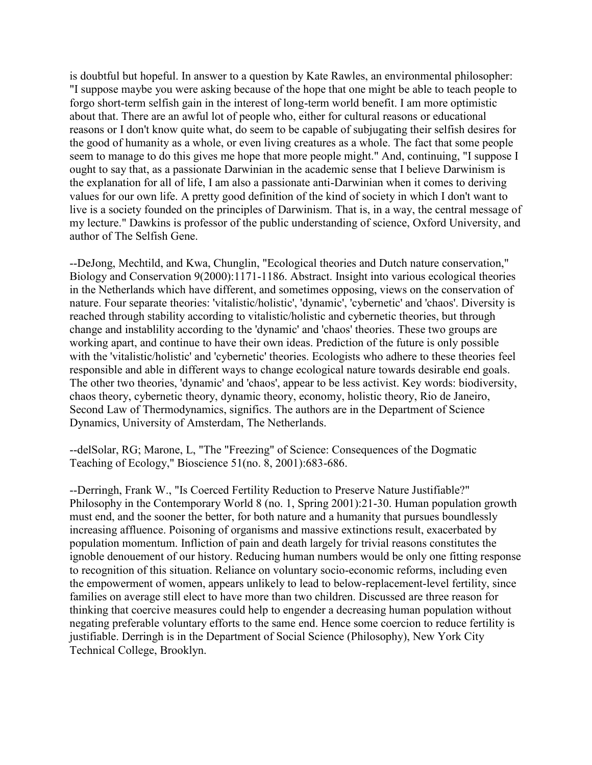is doubtful but hopeful. In answer to a question by Kate Rawles, an environmental philosopher: "I suppose maybe you were asking because of the hope that one might be able to teach people to forgo short-term selfish gain in the interest of long-term world benefit. I am more optimistic about that. There are an awful lot of people who, either for cultural reasons or educational reasons or I don't know quite what, do seem to be capable of subjugating their selfish desires for the good of humanity as a whole, or even living creatures as a whole. The fact that some people seem to manage to do this gives me hope that more people might." And, continuing, "I suppose I ought to say that, as a passionate Darwinian in the academic sense that I believe Darwinism is the explanation for all of life, I am also a passionate anti-Darwinian when it comes to deriving values for our own life. A pretty good definition of the kind of society in which I don't want to live is a society founded on the principles of Darwinism. That is, in a way, the central message of my lecture." Dawkins is professor of the public understanding of science, Oxford University, and author of The Selfish Gene.

--DeJong, Mechtild, and Kwa, Chunglin, "Ecological theories and Dutch nature conservation," Biology and Conservation 9(2000):1171-1186. Abstract. Insight into various ecological theories in the Netherlands which have different, and sometimes opposing, views on the conservation of nature. Four separate theories: 'vitalistic/holistic', 'dynamic', 'cybernetic' and 'chaos'. Diversity is reached through stability according to vitalistic/holistic and cybernetic theories, but through change and instablility according to the 'dynamic' and 'chaos' theories. These two groups are working apart, and continue to have their own ideas. Prediction of the future is only possible with the 'vitalistic/holistic' and 'cybernetic' theories. Ecologists who adhere to these theories feel responsible and able in different ways to change ecological nature towards desirable end goals. The other two theories, 'dynamic' and 'chaos', appear to be less activist. Key words: biodiversity, chaos theory, cybernetic theory, dynamic theory, economy, holistic theory, Rio de Janeiro, Second Law of Thermodynamics, significs. The authors are in the Department of Science Dynamics, University of Amsterdam, The Netherlands.

--delSolar, RG; Marone, L, "The "Freezing" of Science: Consequences of the Dogmatic Teaching of Ecology," Bioscience 51(no. 8, 2001):683-686.

--Derringh, Frank W., "Is Coerced Fertility Reduction to Preserve Nature Justifiable?" Philosophy in the Contemporary World 8 (no. 1, Spring 2001):21-30. Human population growth must end, and the sooner the better, for both nature and a humanity that pursues boundlessly increasing affluence. Poisoning of organisms and massive extinctions result, exacerbated by population momentum. Infliction of pain and death largely for trivial reasons constitutes the ignoble denouement of our history. Reducing human numbers would be only one fitting response to recognition of this situation. Reliance on voluntary socio-economic reforms, including even the empowerment of women, appears unlikely to lead to below-replacement-level fertility, since families on average still elect to have more than two children. Discussed are three reason for thinking that coercive measures could help to engender a decreasing human population without negating preferable voluntary efforts to the same end. Hence some coercion to reduce fertility is justifiable. Derringh is in the Department of Social Science (Philosophy), New York City Technical College, Brooklyn.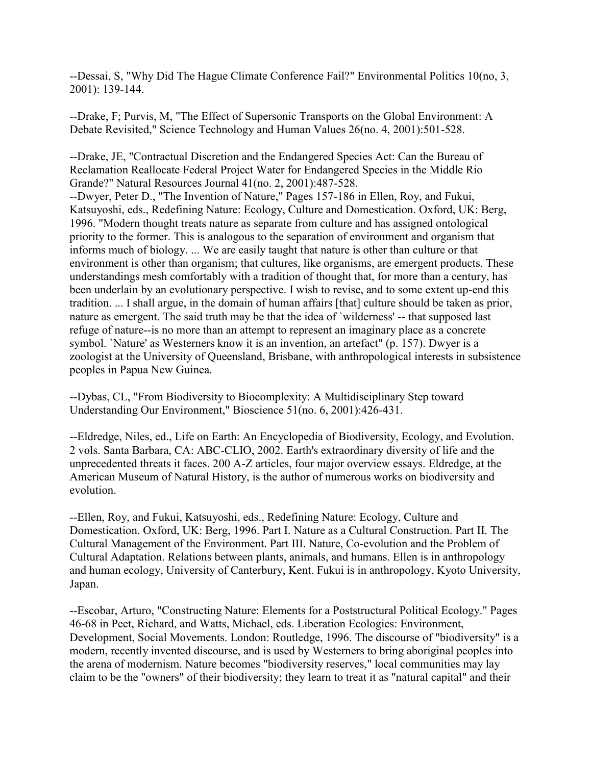--Dessai, S, "Why Did The Hague Climate Conference Fail?" Environmental Politics 10(no, 3, 2001): 139-144.

--Drake, F; Purvis, M, "The Effect of Supersonic Transports on the Global Environment: A Debate Revisited," Science Technology and Human Values 26(no. 4, 2001):501-528.

--Drake, JE, "Contractual Discretion and the Endangered Species Act: Can the Bureau of Reclamation Reallocate Federal Project Water for Endangered Species in the Middle Rio Grande?" Natural Resources Journal 41(no. 2, 2001):487-528. --Dwyer, Peter D., "The Invention of Nature," Pages 157-186 in Ellen, Roy, and Fukui, Katsuyoshi, eds., Redefining Nature: Ecology, Culture and Domestication. Oxford, UK: Berg, 1996. "Modern thought treats nature as separate from culture and has assigned ontological priority to the former. This is analogous to the separation of environment and organism that informs much of biology. ... We are easily taught that nature is other than culture or that environment is other than organism; that cultures, like organisms, are emergent products. These understandings mesh comfortably with a tradition of thought that, for more than a century, has been underlain by an evolutionary perspective. I wish to revise, and to some extent up-end this tradition. ... I shall argue, in the domain of human affairs [that] culture should be taken as prior, nature as emergent. The said truth may be that the idea of `wilderness' -- that supposed last refuge of nature--is no more than an attempt to represent an imaginary place as a concrete symbol. `Nature' as Westerners know it is an invention, an artefact" (p. 157). Dwyer is a zoologist at the University of Queensland, Brisbane, with anthropological interests in subsistence peoples in Papua New Guinea.

--Dybas, CL, "From Biodiversity to Biocomplexity: A Multidisciplinary Step toward Understanding Our Environment," Bioscience 51(no. 6, 2001):426-431.

--Eldredge, Niles, ed., Life on Earth: An Encyclopedia of Biodiversity, Ecology, and Evolution. 2 vols. Santa Barbara, CA: ABC-CLIO, 2002. Earth's extraordinary diversity of life and the unprecedented threats it faces. 200 A-Z articles, four major overview essays. Eldredge, at the American Museum of Natural History, is the author of numerous works on biodiversity and evolution.

--Ellen, Roy, and Fukui, Katsuyoshi, eds., Redefining Nature: Ecology, Culture and Domestication. Oxford, UK: Berg, 1996. Part I. Nature as a Cultural Construction. Part II. The Cultural Management of the Environment. Part III. Nature, Co-evolution and the Problem of Cultural Adaptation. Relations between plants, animals, and humans. Ellen is in anthropology and human ecology, University of Canterbury, Kent. Fukui is in anthropology, Kyoto University, Japan.

--Escobar, Arturo, "Constructing Nature: Elements for a Poststructural Political Ecology." Pages 46-68 in Peet, Richard, and Watts, Michael, eds. Liberation Ecologies: Environment, Development, Social Movements. London: Routledge, 1996. The discourse of "biodiversity" is a modern, recently invented discourse, and is used by Westerners to bring aboriginal peoples into the arena of modernism. Nature becomes "biodiversity reserves," local communities may lay claim to be the "owners" of their biodiversity; they learn to treat it as "natural capital" and their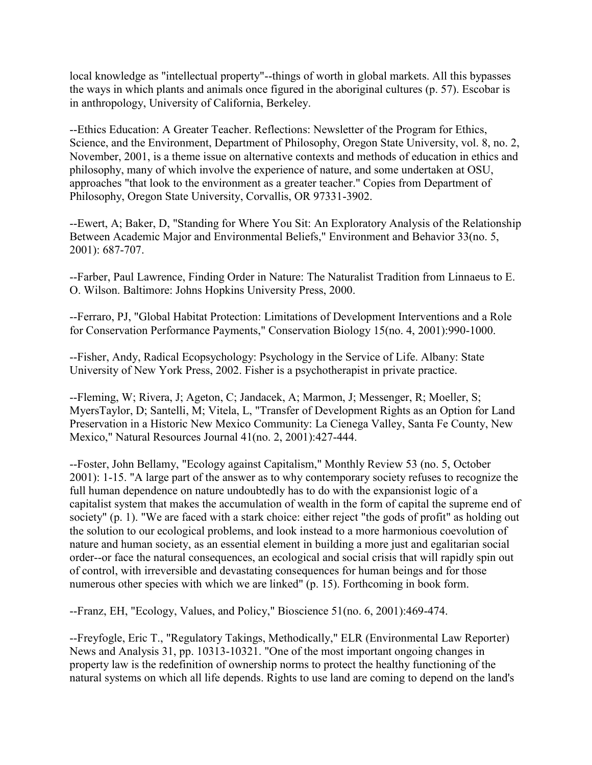local knowledge as "intellectual property"--things of worth in global markets. All this bypasses the ways in which plants and animals once figured in the aboriginal cultures (p. 57). Escobar is in anthropology, University of California, Berkeley.

--Ethics Education: A Greater Teacher. Reflections: Newsletter of the Program for Ethics, Science, and the Environment, Department of Philosophy, Oregon State University, vol. 8, no. 2, November, 2001, is a theme issue on alternative contexts and methods of education in ethics and philosophy, many of which involve the experience of nature, and some undertaken at OSU, approaches "that look to the environment as a greater teacher." Copies from Department of Philosophy, Oregon State University, Corvallis, OR 97331-3902.

--Ewert, A; Baker, D, "Standing for Where You Sit: An Exploratory Analysis of the Relationship Between Academic Major and Environmental Beliefs," Environment and Behavior 33(no. 5, 2001): 687-707.

--Farber, Paul Lawrence, Finding Order in Nature: The Naturalist Tradition from Linnaeus to E. O. Wilson. Baltimore: Johns Hopkins University Press, 2000.

--Ferraro, PJ, "Global Habitat Protection: Limitations of Development Interventions and a Role for Conservation Performance Payments," Conservation Biology 15(no. 4, 2001):990-1000.

--Fisher, Andy, Radical Ecopsychology: Psychology in the Service of Life. Albany: State University of New York Press, 2002. Fisher is a psychotherapist in private practice.

--Fleming, W; Rivera, J; Ageton, C; Jandacek, A; Marmon, J; Messenger, R; Moeller, S; MyersTaylor, D; Santelli, M; Vitela, L, "Transfer of Development Rights as an Option for Land Preservation in a Historic New Mexico Community: La Cienega Valley, Santa Fe County, New Mexico," Natural Resources Journal 41(no. 2, 2001):427-444.

--Foster, John Bellamy, "Ecology against Capitalism," Monthly Review 53 (no. 5, October 2001): 1-15. "A large part of the answer as to why contemporary society refuses to recognize the full human dependence on nature undoubtedly has to do with the expansionist logic of a capitalist system that makes the accumulation of wealth in the form of capital the supreme end of society" (p. 1). "We are faced with a stark choice: either reject "the gods of profit" as holding out the solution to our ecological problems, and look instead to a more harmonious coevolution of nature and human society, as an essential element in building a more just and egalitarian social order--or face the natural consequences, an ecological and social crisis that will rapidly spin out of control, with irreversible and devastating consequences for human beings and for those numerous other species with which we are linked" (p. 15). Forthcoming in book form.

--Franz, EH, "Ecology, Values, and Policy," Bioscience 51(no. 6, 2001):469-474.

--Freyfogle, Eric T., "Regulatory Takings, Methodically," ELR (Environmental Law Reporter) News and Analysis 31, pp. 10313-10321. "One of the most important ongoing changes in property law is the redefinition of ownership norms to protect the healthy functioning of the natural systems on which all life depends. Rights to use land are coming to depend on the land's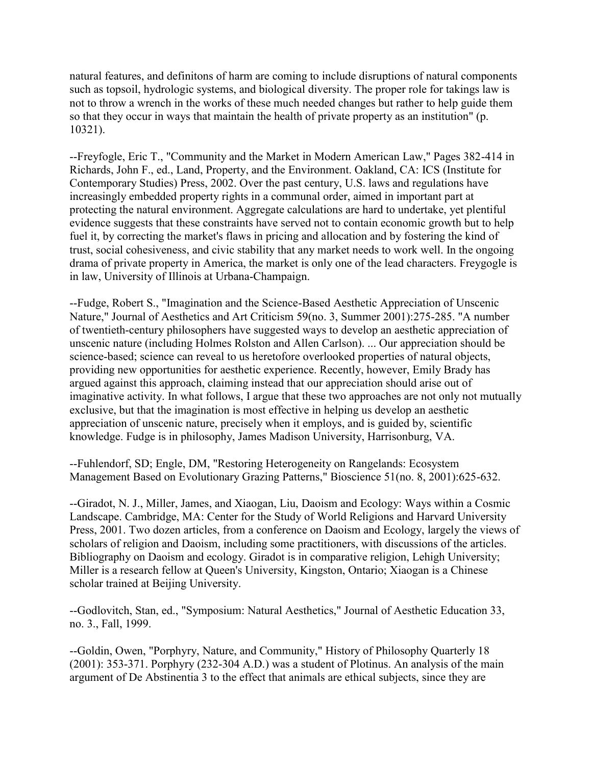natural features, and definitons of harm are coming to include disruptions of natural components such as topsoil, hydrologic systems, and biological diversity. The proper role for takings law is not to throw a wrench in the works of these much needed changes but rather to help guide them so that they occur in ways that maintain the health of private property as an institution" (p. 10321).

--Freyfogle, Eric T., "Community and the Market in Modern American Law," Pages 382-414 in Richards, John F., ed., Land, Property, and the Environment. Oakland, CA: ICS (Institute for Contemporary Studies) Press, 2002. Over the past century, U.S. laws and regulations have increasingly embedded property rights in a communal order, aimed in important part at protecting the natural environment. Aggregate calculations are hard to undertake, yet plentiful evidence suggests that these constraints have served not to contain economic growth but to help fuel it, by correcting the market's flaws in pricing and allocation and by fostering the kind of trust, social cohesiveness, and civic stability that any market needs to work well. In the ongoing drama of private property in America, the market is only one of the lead characters. Freygogle is in law, University of Illinois at Urbana-Champaign.

--Fudge, Robert S., "Imagination and the Science-Based Aesthetic Appreciation of Unscenic Nature," Journal of Aesthetics and Art Criticism 59(no. 3, Summer 2001):275-285. "A number of twentieth-century philosophers have suggested ways to develop an aesthetic appreciation of unscenic nature (including Holmes Rolston and Allen Carlson). ... Our appreciation should be science-based; science can reveal to us heretofore overlooked properties of natural objects, providing new opportunities for aesthetic experience. Recently, however, Emily Brady has argued against this approach, claiming instead that our appreciation should arise out of imaginative activity. In what follows, I argue that these two approaches are not only not mutually exclusive, but that the imagination is most effective in helping us develop an aesthetic appreciation of unscenic nature, precisely when it employs, and is guided by, scientific knowledge. Fudge is in philosophy, James Madison University, Harrisonburg, VA.

--Fuhlendorf, SD; Engle, DM, "Restoring Heterogeneity on Rangelands: Ecosystem Management Based on Evolutionary Grazing Patterns," Bioscience 51(no. 8, 2001):625-632.

--Giradot, N. J., Miller, James, and Xiaogan, Liu, Daoism and Ecology: Ways within a Cosmic Landscape. Cambridge, MA: Center for the Study of World Religions and Harvard University Press, 2001. Two dozen articles, from a conference on Daoism and Ecology, largely the views of scholars of religion and Daoism, including some practitioners, with discussions of the articles. Bibliography on Daoism and ecology. Giradot is in comparative religion, Lehigh University; Miller is a research fellow at Queen's University, Kingston, Ontario; Xiaogan is a Chinese scholar trained at Beijing University.

--Godlovitch, Stan, ed., "Symposium: Natural Aesthetics," Journal of Aesthetic Education 33, no. 3., Fall, 1999.

--Goldin, Owen, "Porphyry, Nature, and Community," History of Philosophy Quarterly 18 (2001): 353-371. Porphyry (232-304 A.D.) was a student of Plotinus. An analysis of the main argument of De Abstinentia 3 to the effect that animals are ethical subjects, since they are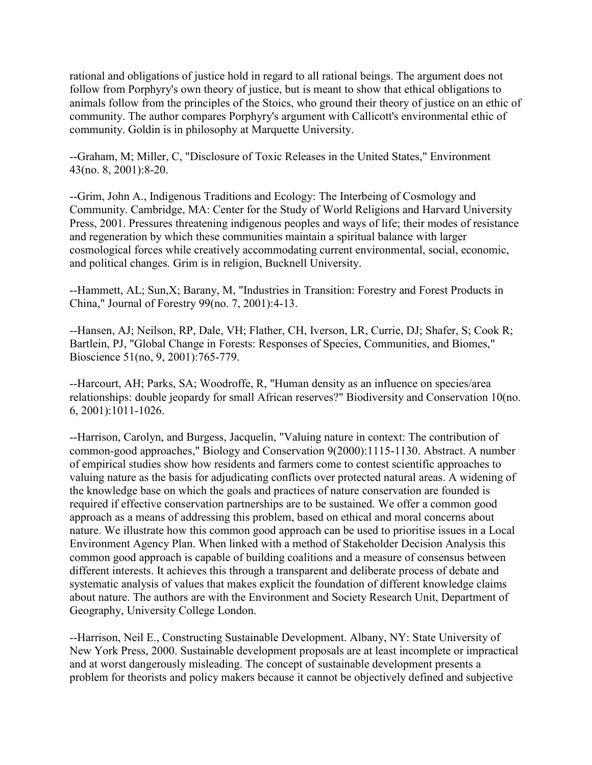rational and obligations of justice hold in regard to all rational beings. The argument does not follow from Porphyry's own theory of justice, but is meant to show that ethical obligations to animals follow from the principles of the Stoics, who ground their theory of justice on an ethic of community. The author compares Porphyry's argument with Callicott's environmental ethic of community. Goldin is in philosophy at Marquette University.

--Graham, M; Miller, C, "Disclosure of Toxic Releases in the United States," Environment 43(no. 8, 2001):8-20.

--Grim, John A., Indigenous Traditions and Ecology: The Interbeing of Cosmology and Community. Cambridge, MA: Center for the Study of World Religions and Harvard University Press, 2001. Pressures threatening indigenous peoples and ways of life; their modes of resistance and regeneration by which these communities maintain a spiritual balance with larger cosmological forces while creatively accommodating current environmental, social, economic, and political changes. Grim is in religion, Bucknell University.

--Hammett, AL; Sun,X; Barany, M, "Industries in Transition: Forestry and Forest Products in China," Journal of Forestry 99(no. 7, 2001):4-13.

--Hansen, AJ; Neilson, RP, Dale, VH; Flather, CH, Iverson, LR, Currie, DJ; Shafer, S; Cook R; Bartlein, PJ, "Global Change in Forests: Responses of Species, Communities, and Biomes," Bioscience 51(no, 9, 2001):765-779.

--Harcourt, AH; Parks, SA; Woodroffe, R, "Human density as an influence on species/area relationships: double jeopardy for small African reserves?" Biodiversity and Conservation 10(no. 6, 2001):1011-1026.

--Harrison, Carolyn, and Burgess, Jacquelin, "Valuing nature in context: The contribution of common-good approaches," Biology and Conservation 9(2000):1115-1130. Abstract. A number of empirical studies show how residents and farmers come to contest scientific approaches to valuing nature as the basis for adjudicating conflicts over protected natural areas. A widening of the knowledge base on which the goals and practices of nature conservation are founded is required if effective conservation partnerships are to be sustained. We offer a common good approach as a means of addressing this problem, based on ethical and moral concerns about nature. We illustrate how this common good approach can be used to prioritise issues in a Local Environment Agency Plan. When linked with a method of Stakeholder Decision Analysis this common good approach is capable of building coalitions and a measure of consensus between different interests. It achieves this through a transparent and deliberate process of debate and systematic analysis of values that makes explicit the foundation of different knowledge claims about nature. The authors are with the Environment and Society Research Unit, Department of Geography, University College London.

--Harrison, Neil E., Constructing Sustainable Development. Albany, NY: State University of New York Press, 2000. Sustainable development proposals are at least incomplete or impractical and at worst dangerously misleading. The concept of sustainable development presents a problem for theorists and policy makers because it cannot be objectively defined and subjective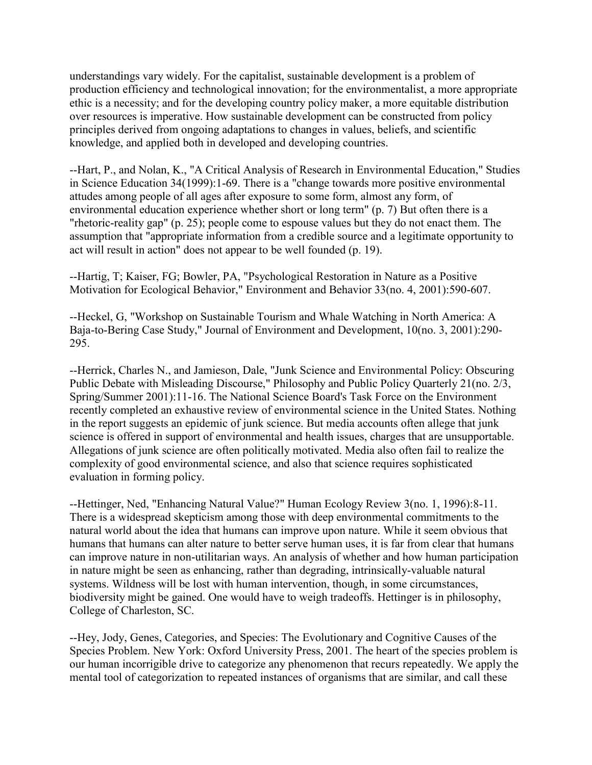understandings vary widely. For the capitalist, sustainable development is a problem of production efficiency and technological innovation; for the environmentalist, a more appropriate ethic is a necessity; and for the developing country policy maker, a more equitable distribution over resources is imperative. How sustainable development can be constructed from policy principles derived from ongoing adaptations to changes in values, beliefs, and scientific knowledge, and applied both in developed and developing countries.

--Hart, P., and Nolan, K., "A Critical Analysis of Research in Environmental Education," Studies in Science Education 34(1999):1-69. There is a "change towards more positive environmental attudes among people of all ages after exposure to some form, almost any form, of environmental education experience whether short or long term" (p. 7) But often there is a "rhetoric-reality gap" (p. 25); people come to espouse values but they do not enact them. The assumption that "appropriate information from a credible source and a legitimate opportunity to act will result in action" does not appear to be well founded (p. 19).

--Hartig, T; Kaiser, FG; Bowler, PA, "Psychological Restoration in Nature as a Positive Motivation for Ecological Behavior," Environment and Behavior 33(no. 4, 2001):590-607.

--Heckel, G, "Workshop on Sustainable Tourism and Whale Watching in North America: A Baja-to-Bering Case Study," Journal of Environment and Development, 10(no. 3, 2001):290- 295.

--Herrick, Charles N., and Jamieson, Dale, "Junk Science and Environmental Policy: Obscuring Public Debate with Misleading Discourse," Philosophy and Public Policy Quarterly 21(no. 2/3, Spring/Summer 2001):11-16. The National Science Board's Task Force on the Environment recently completed an exhaustive review of environmental science in the United States. Nothing in the report suggests an epidemic of junk science. But media accounts often allege that junk science is offered in support of environmental and health issues, charges that are unsupportable. Allegations of junk science are often politically motivated. Media also often fail to realize the complexity of good environmental science, and also that science requires sophisticated evaluation in forming policy.

--Hettinger, Ned, "Enhancing Natural Value?" Human Ecology Review 3(no. 1, 1996):8-11. There is a widespread skepticism among those with deep environmental commitments to the natural world about the idea that humans can improve upon nature. While it seem obvious that humans that humans can alter nature to better serve human uses, it is far from clear that humans can improve nature in non-utilitarian ways. An analysis of whether and how human participation in nature might be seen as enhancing, rather than degrading, intrinsically-valuable natural systems. Wildness will be lost with human intervention, though, in some circumstances, biodiversity might be gained. One would have to weigh tradeoffs. Hettinger is in philosophy, College of Charleston, SC.

--Hey, Jody, Genes, Categories, and Species: The Evolutionary and Cognitive Causes of the Species Problem. New York: Oxford University Press, 2001. The heart of the species problem is our human incorrigible drive to categorize any phenomenon that recurs repeatedly. We apply the mental tool of categorization to repeated instances of organisms that are similar, and call these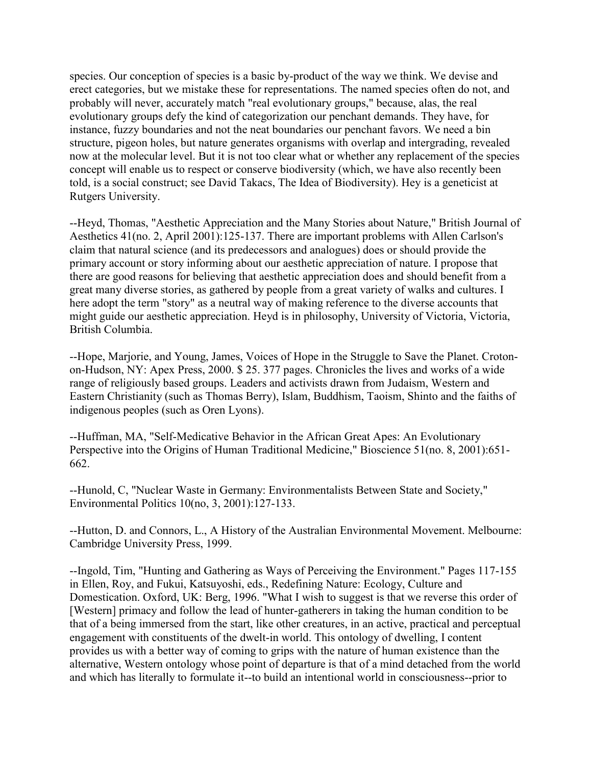species. Our conception of species is a basic by-product of the way we think. We devise and erect categories, but we mistake these for representations. The named species often do not, and probably will never, accurately match "real evolutionary groups," because, alas, the real evolutionary groups defy the kind of categorization our penchant demands. They have, for instance, fuzzy boundaries and not the neat boundaries our penchant favors. We need a bin structure, pigeon holes, but nature generates organisms with overlap and intergrading, revealed now at the molecular level. But it is not too clear what or whether any replacement of the species concept will enable us to respect or conserve biodiversity (which, we have also recently been told, is a social construct; see David Takacs, The Idea of Biodiversity). Hey is a geneticist at Rutgers University.

--Heyd, Thomas, "Aesthetic Appreciation and the Many Stories about Nature," British Journal of Aesthetics 41(no. 2, April 2001):125-137. There are important problems with Allen Carlson's claim that natural science (and its predecessors and analogues) does or should provide the primary account or story informing about our aesthetic appreciation of nature. I propose that there are good reasons for believing that aesthetic appreciation does and should benefit from a great many diverse stories, as gathered by people from a great variety of walks and cultures. I here adopt the term "story" as a neutral way of making reference to the diverse accounts that might guide our aesthetic appreciation. Heyd is in philosophy, University of Victoria, Victoria, British Columbia.

--Hope, Marjorie, and Young, James, Voices of Hope in the Struggle to Save the Planet. Crotonon-Hudson, NY: Apex Press, 2000. \$ 25. 377 pages. Chronicles the lives and works of a wide range of religiously based groups. Leaders and activists drawn from Judaism, Western and Eastern Christianity (such as Thomas Berry), Islam, Buddhism, Taoism, Shinto and the faiths of indigenous peoples (such as Oren Lyons).

--Huffman, MA, "Self-Medicative Behavior in the African Great Apes: An Evolutionary Perspective into the Origins of Human Traditional Medicine," Bioscience 51(no. 8, 2001):651- 662.

--Hunold, C, "Nuclear Waste in Germany: Environmentalists Between State and Society," Environmental Politics 10(no, 3, 2001):127-133.

--Hutton, D. and Connors, L., A History of the Australian Environmental Movement. Melbourne: Cambridge University Press, 1999.

--Ingold, Tim, "Hunting and Gathering as Ways of Perceiving the Environment." Pages 117-155 in Ellen, Roy, and Fukui, Katsuyoshi, eds., Redefining Nature: Ecology, Culture and Domestication. Oxford, UK: Berg, 1996. "What I wish to suggest is that we reverse this order of [Western] primacy and follow the lead of hunter-gatherers in taking the human condition to be that of a being immersed from the start, like other creatures, in an active, practical and perceptual engagement with constituents of the dwelt-in world. This ontology of dwelling, I content provides us with a better way of coming to grips with the nature of human existence than the alternative, Western ontology whose point of departure is that of a mind detached from the world and which has literally to formulate it--to build an intentional world in consciousness--prior to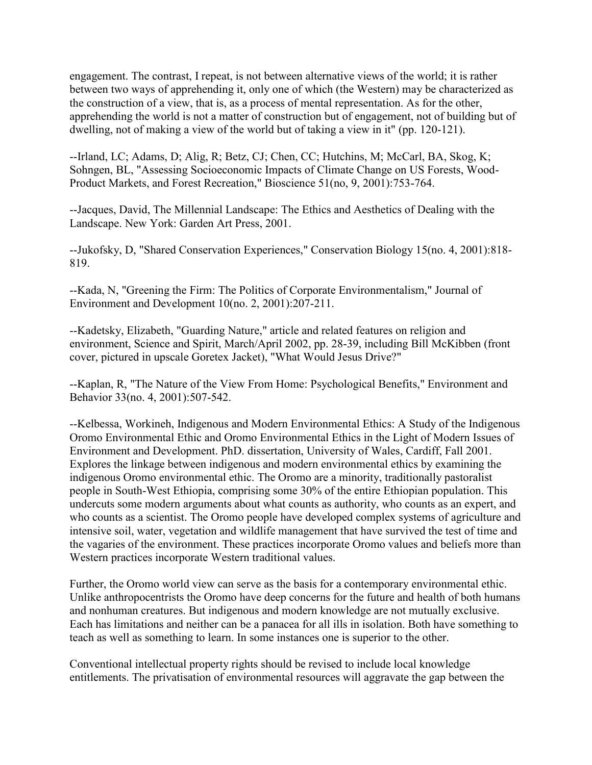engagement. The contrast, I repeat, is not between alternative views of the world; it is rather between two ways of apprehending it, only one of which (the Western) may be characterized as the construction of a view, that is, as a process of mental representation. As for the other, apprehending the world is not a matter of construction but of engagement, not of building but of dwelling, not of making a view of the world but of taking a view in it" (pp. 120-121).

--Irland, LC; Adams, D; Alig, R; Betz, CJ; Chen, CC; Hutchins, M; McCarl, BA, Skog, K; Sohngen, BL, "Assessing Socioeconomic Impacts of Climate Change on US Forests, Wood-Product Markets, and Forest Recreation," Bioscience 51(no, 9, 2001):753-764.

--Jacques, David, The Millennial Landscape: The Ethics and Aesthetics of Dealing with the Landscape. New York: Garden Art Press, 2001.

--Jukofsky, D, "Shared Conservation Experiences," Conservation Biology 15(no. 4, 2001):818- 819.

--Kada, N, "Greening the Firm: The Politics of Corporate Environmentalism," Journal of Environment and Development 10(no. 2, 2001):207-211.

--Kadetsky, Elizabeth, "Guarding Nature," article and related features on religion and environment, Science and Spirit, March/April 2002, pp. 28-39, including Bill McKibben (front cover, pictured in upscale Goretex Jacket), "What Would Jesus Drive?"

--Kaplan, R, "The Nature of the View From Home: Psychological Benefits," Environment and Behavior 33(no. 4, 2001):507-542.

--Kelbessa, Workineh, Indigenous and Modern Environmental Ethics: A Study of the Indigenous Oromo Environmental Ethic and Oromo Environmental Ethics in the Light of Modern Issues of Environment and Development. PhD. dissertation, University of Wales, Cardiff, Fall 2001. Explores the linkage between indigenous and modern environmental ethics by examining the indigenous Oromo environmental ethic. The Oromo are a minority, traditionally pastoralist people in South-West Ethiopia, comprising some 30% of the entire Ethiopian population. This undercuts some modern arguments about what counts as authority, who counts as an expert, and who counts as a scientist. The Oromo people have developed complex systems of agriculture and intensive soil, water, vegetation and wildlife management that have survived the test of time and the vagaries of the environment. These practices incorporate Oromo values and beliefs more than Western practices incorporate Western traditional values.

Further, the Oromo world view can serve as the basis for a contemporary environmental ethic. Unlike anthropocentrists the Oromo have deep concerns for the future and health of both humans and nonhuman creatures. But indigenous and modern knowledge are not mutually exclusive. Each has limitations and neither can be a panacea for all ills in isolation. Both have something to teach as well as something to learn. In some instances one is superior to the other.

Conventional intellectual property rights should be revised to include local knowledge entitlements. The privatisation of environmental resources will aggravate the gap between the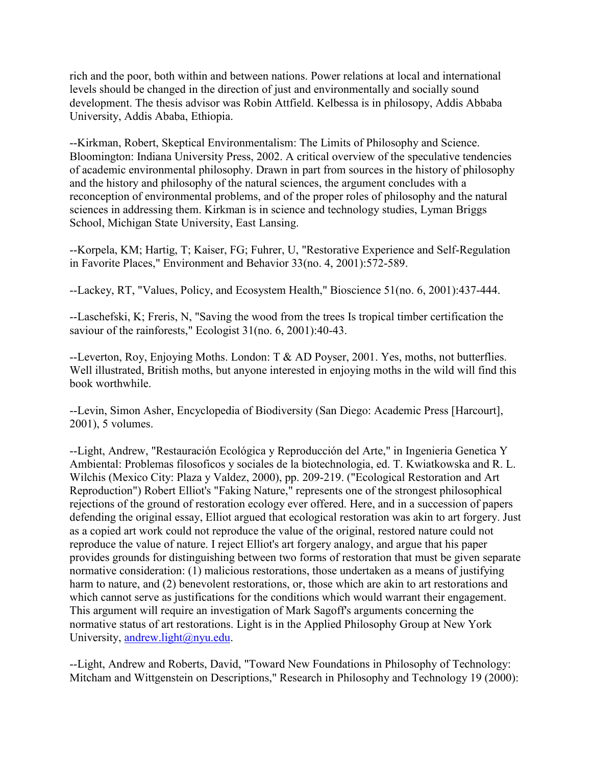rich and the poor, both within and between nations. Power relations at local and international levels should be changed in the direction of just and environmentally and socially sound development. The thesis advisor was Robin Attfield. Kelbessa is in philosopy, Addis Abbaba University, Addis Ababa, Ethiopia.

--Kirkman, Robert, Skeptical Environmentalism: The Limits of Philosophy and Science. Bloomington: Indiana University Press, 2002. A critical overview of the speculative tendencies of academic environmental philosophy. Drawn in part from sources in the history of philosophy and the history and philosophy of the natural sciences, the argument concludes with a reconception of environmental problems, and of the proper roles of philosophy and the natural sciences in addressing them. Kirkman is in science and technology studies, Lyman Briggs School, Michigan State University, East Lansing.

--Korpela, KM; Hartig, T; Kaiser, FG; Fuhrer, U, "Restorative Experience and Self-Regulation in Favorite Places," Environment and Behavior 33(no. 4, 2001):572-589.

--Lackey, RT, "Values, Policy, and Ecosystem Health," Bioscience 51(no. 6, 2001):437-444.

--Laschefski, K; Freris, N, "Saving the wood from the trees Is tropical timber certification the saviour of the rainforests," Ecologist 31(no. 6, 2001):40-43.

--Leverton, Roy, Enjoying Moths. London: T & AD Poyser, 2001. Yes, moths, not butterflies. Well illustrated, British moths, but anyone interested in enjoying moths in the wild will find this book worthwhile.

--Levin, Simon Asher, Encyclopedia of Biodiversity (San Diego: Academic Press [Harcourt], 2001), 5 volumes.

--Light, Andrew, "Restauración Ecológica y Reproducción del Arte," in Ingenieria Genetica Y Ambiental: Problemas filosoficos y sociales de la biotechnologia, ed. T. Kwiatkowska and R. L. Wilchis (Mexico City: Plaza y Valdez, 2000), pp. 209-219. ("Ecological Restoration and Art Reproduction") Robert Elliot's "Faking Nature," represents one of the strongest philosophical rejections of the ground of restoration ecology ever offered. Here, and in a succession of papers defending the original essay, Elliot argued that ecological restoration was akin to art forgery. Just as a copied art work could not reproduce the value of the original, restored nature could not reproduce the value of nature. I reject Elliot's art forgery analogy, and argue that his paper provides grounds for distinguishing between two forms of restoration that must be given separate normative consideration: (1) malicious restorations, those undertaken as a means of justifying harm to nature, and (2) benevolent restorations, or, those which are akin to art restorations and which cannot serve as justifications for the conditions which would warrant their engagement. This argument will require an investigation of Mark Sagoff's arguments concerning the normative status of art restorations. Light is in the Applied Philosophy Group at New York University, [andrew.light@nyu.edu.](mailto:andrew.light@nyu.edu)

--Light, Andrew and Roberts, David, "Toward New Foundations in Philosophy of Technology: Mitcham and Wittgenstein on Descriptions," Research in Philosophy and Technology 19 (2000):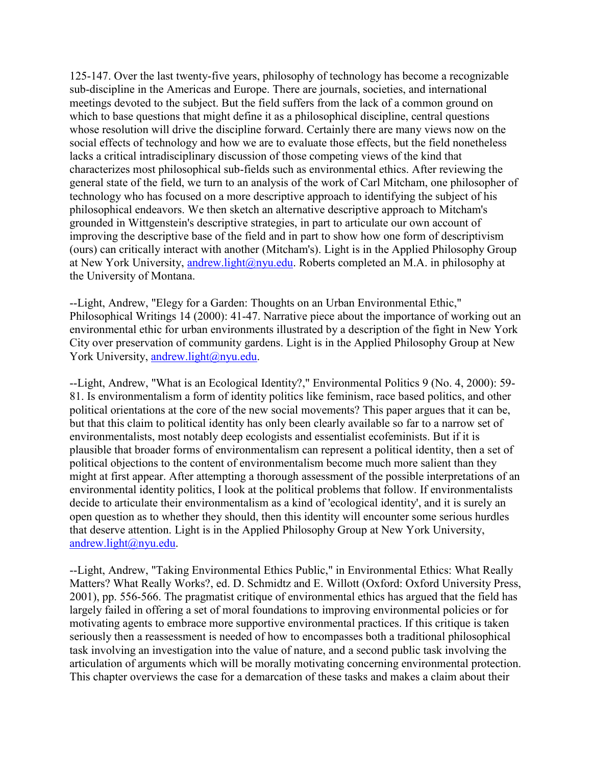125-147. Over the last twenty-five years, philosophy of technology has become a recognizable sub-discipline in the Americas and Europe. There are journals, societies, and international meetings devoted to the subject. But the field suffers from the lack of a common ground on which to base questions that might define it as a philosophical discipline, central questions whose resolution will drive the discipline forward. Certainly there are many views now on the social effects of technology and how we are to evaluate those effects, but the field nonetheless lacks a critical intradisciplinary discussion of those competing views of the kind that characterizes most philosophical sub-fields such as environmental ethics. After reviewing the general state of the field, we turn to an analysis of the work of Carl Mitcham, one philosopher of technology who has focused on a more descriptive approach to identifying the subject of his philosophical endeavors. We then sketch an alternative descriptive approach to Mitcham's grounded in Wittgenstein's descriptive strategies, in part to articulate our own account of improving the descriptive base of the field and in part to show how one form of descriptivism (ours) can critically interact with another (Mitcham's). Light is in the Applied Philosophy Group at New York University, [andrew.light@nyu.edu.](mailto:andrew.light@nyu.edu) Roberts completed an M.A. in philosophy at the University of Montana.

--Light, Andrew, "Elegy for a Garden: Thoughts on an Urban Environmental Ethic," Philosophical Writings 14 (2000): 41-47. Narrative piece about the importance of working out an environmental ethic for urban environments illustrated by a description of the fight in New York City over preservation of community gardens. Light is in the Applied Philosophy Group at New York University, [andrew.light@nyu.edu.](mailto:andrew.light@nyu.edu)

--Light, Andrew, "What is an Ecological Identity?," Environmental Politics 9 (No. 4, 2000): 59- 81. Is environmentalism a form of identity politics like feminism, race based politics, and other political orientations at the core of the new social movements? This paper argues that it can be, but that this claim to political identity has only been clearly available so far to a narrow set of environmentalists, most notably deep ecologists and essentialist ecofeminists. But if it is plausible that broader forms of environmentalism can represent a political identity, then a set of political objections to the content of environmentalism become much more salient than they might at first appear. After attempting a thorough assessment of the possible interpretations of an environmental identity politics, I look at the political problems that follow. If environmentalists decide to articulate their environmentalism as a kind of 'ecological identity', and it is surely an open question as to whether they should, then this identity will encounter some serious hurdles that deserve attention. Light is in the Applied Philosophy Group at New York University, [andrew.light@nyu.edu.](mailto:andrew.light@nyu.edu)

--Light, Andrew, "Taking Environmental Ethics Public," in Environmental Ethics: What Really Matters? What Really Works?, ed. D. Schmidtz and E. Willott (Oxford: Oxford University Press, 2001), pp. 556-566. The pragmatist critique of environmental ethics has argued that the field has largely failed in offering a set of moral foundations to improving environmental policies or for motivating agents to embrace more supportive environmental practices. If this critique is taken seriously then a reassessment is needed of how to encompasses both a traditional philosophical task involving an investigation into the value of nature, and a second public task involving the articulation of arguments which will be morally motivating concerning environmental protection. This chapter overviews the case for a demarcation of these tasks and makes a claim about their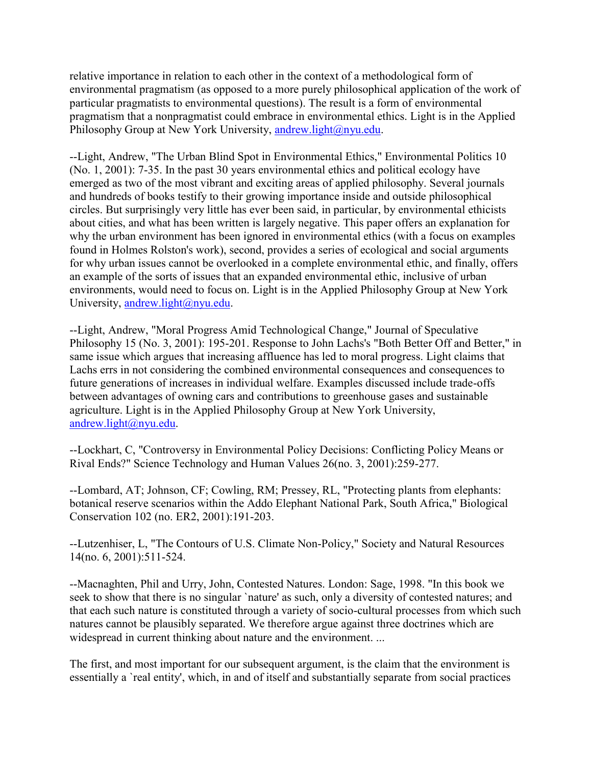relative importance in relation to each other in the context of a methodological form of environmental pragmatism (as opposed to a more purely philosophical application of the work of particular pragmatists to environmental questions). The result is a form of environmental pragmatism that a nonpragmatist could embrace in environmental ethics. Light is in the Applied Philosophy Group at New York University, [andrew.light@nyu.edu.](mailto:andrew.light@nyu.edu)

--Light, Andrew, "The Urban Blind Spot in Environmental Ethics," Environmental Politics 10 (No. 1, 2001): 7-35. In the past 30 years environmental ethics and political ecology have emerged as two of the most vibrant and exciting areas of applied philosophy. Several journals and hundreds of books testify to their growing importance inside and outside philosophical circles. But surprisingly very little has ever been said, in particular, by environmental ethicists about cities, and what has been written is largely negative. This paper offers an explanation for why the urban environment has been ignored in environmental ethics (with a focus on examples found in Holmes Rolston's work), second, provides a series of ecological and social arguments for why urban issues cannot be overlooked in a complete environmental ethic, and finally, offers an example of the sorts of issues that an expanded environmental ethic, inclusive of urban environments, would need to focus on. Light is in the Applied Philosophy Group at New York University, [andrew.light@nyu.edu.](mailto:andrew.light@nyu.edu)

--Light, Andrew, "Moral Progress Amid Technological Change," Journal of Speculative Philosophy 15 (No. 3, 2001): 195-201. Response to John Lachs's "Both Better Off and Better," in same issue which argues that increasing affluence has led to moral progress. Light claims that Lachs errs in not considering the combined environmental consequences and consequences to future generations of increases in individual welfare. Examples discussed include trade-offs between advantages of owning cars and contributions to greenhouse gases and sustainable agriculture. Light is in the Applied Philosophy Group at New York University, [andrew.light@nyu.edu.](mailto:andrew.light@nyu.edu)

--Lockhart, C, "Controversy in Environmental Policy Decisions: Conflicting Policy Means or Rival Ends?" Science Technology and Human Values 26(no. 3, 2001):259-277.

--Lombard, AT; Johnson, CF; Cowling, RM; Pressey, RL, "Protecting plants from elephants: botanical reserve scenarios within the Addo Elephant National Park, South Africa," Biological Conservation 102 (no. ER2, 2001):191-203.

--Lutzenhiser, L, "The Contours of U.S. Climate Non-Policy," Society and Natural Resources 14(no. 6, 2001):511-524.

--Macnaghten, Phil and Urry, John, Contested Natures. London: Sage, 1998. "In this book we seek to show that there is no singular `nature' as such, only a diversity of contested natures; and that each such nature is constituted through a variety of socio-cultural processes from which such natures cannot be plausibly separated. We therefore argue against three doctrines which are widespread in current thinking about nature and the environment. ...

The first, and most important for our subsequent argument, is the claim that the environment is essentially a `real entity', which, in and of itself and substantially separate from social practices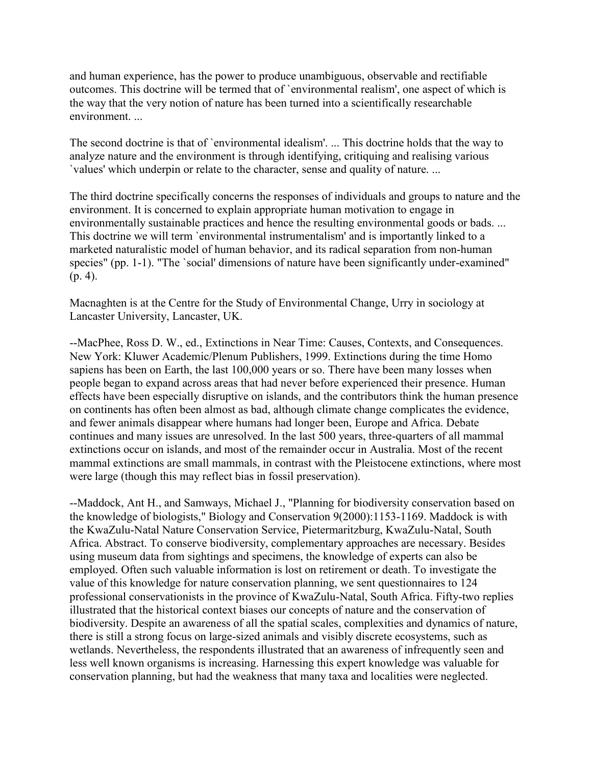and human experience, has the power to produce unambiguous, observable and rectifiable outcomes. This doctrine will be termed that of `environmental realism', one aspect of which is the way that the very notion of nature has been turned into a scientifically researchable environment. ...

The second doctrine is that of `environmental idealism'. ... This doctrine holds that the way to analyze nature and the environment is through identifying, critiquing and realising various `values' which underpin or relate to the character, sense and quality of nature. ...

The third doctrine specifically concerns the responses of individuals and groups to nature and the environment. It is concerned to explain appropriate human motivation to engage in environmentally sustainable practices and hence the resulting environmental goods or bads. ... This doctrine we will term `environmental instrumentalism' and is importantly linked to a marketed naturalistic model of human behavior, and its radical separation from non-human species" (pp. 1-1). "The `social' dimensions of nature have been significantly under-examined" (p. 4).

Macnaghten is at the Centre for the Study of Environmental Change, Urry in sociology at Lancaster University, Lancaster, UK.

--MacPhee, Ross D. W., ed., Extinctions in Near Time: Causes, Contexts, and Consequences. New York: Kluwer Academic/Plenum Publishers, 1999. Extinctions during the time Homo sapiens has been on Earth, the last 100,000 years or so. There have been many losses when people began to expand across areas that had never before experienced their presence. Human effects have been especially disruptive on islands, and the contributors think the human presence on continents has often been almost as bad, although climate change complicates the evidence, and fewer animals disappear where humans had longer been, Europe and Africa. Debate continues and many issues are unresolved. In the last 500 years, three-quarters of all mammal extinctions occur on islands, and most of the remainder occur in Australia. Most of the recent mammal extinctions are small mammals, in contrast with the Pleistocene extinctions, where most were large (though this may reflect bias in fossil preservation).

--Maddock, Ant H., and Samways, Michael J., "Planning for biodiversity conservation based on the knowledge of biologists," Biology and Conservation 9(2000):1153-1169. Maddock is with the KwaZulu-Natal Nature Conservation Service, Pietermaritzburg, KwaZulu-Natal, South Africa. Abstract. To conserve biodiversity, complementary approaches are necessary. Besides using museum data from sightings and specimens, the knowledge of experts can also be employed. Often such valuable information is lost on retirement or death. To investigate the value of this knowledge for nature conservation planning, we sent questionnaires to 124 professional conservationists in the province of KwaZulu-Natal, South Africa. Fifty-two replies illustrated that the historical context biases our concepts of nature and the conservation of biodiversity. Despite an awareness of all the spatial scales, complexities and dynamics of nature, there is still a strong focus on large-sized animals and visibly discrete ecosystems, such as wetlands. Nevertheless, the respondents illustrated that an awareness of infrequently seen and less well known organisms is increasing. Harnessing this expert knowledge was valuable for conservation planning, but had the weakness that many taxa and localities were neglected.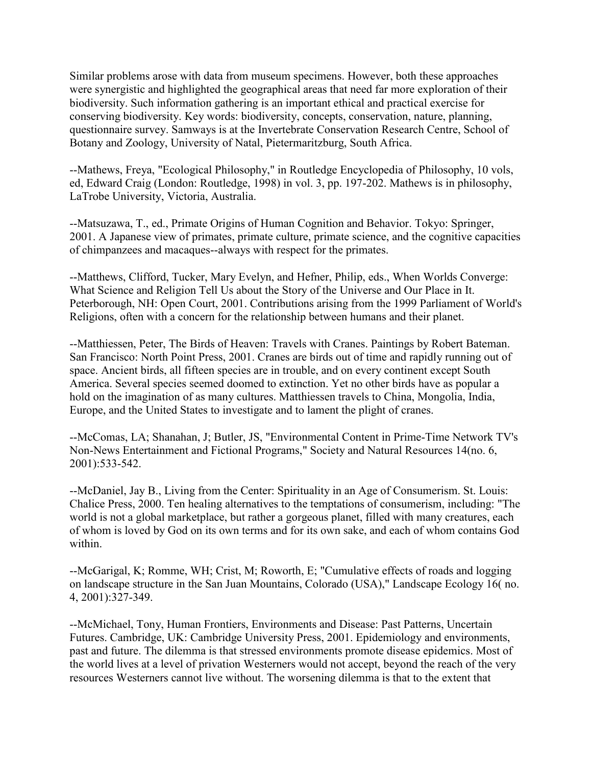Similar problems arose with data from museum specimens. However, both these approaches were synergistic and highlighted the geographical areas that need far more exploration of their biodiversity. Such information gathering is an important ethical and practical exercise for conserving biodiversity. Key words: biodiversity, concepts, conservation, nature, planning, questionnaire survey. Samways is at the Invertebrate Conservation Research Centre, School of Botany and Zoology, University of Natal, Pietermaritzburg, South Africa.

--Mathews, Freya, "Ecological Philosophy," in Routledge Encyclopedia of Philosophy, 10 vols, ed, Edward Craig (London: Routledge, 1998) in vol. 3, pp. 197-202. Mathews is in philosophy, LaTrobe University, Victoria, Australia.

--Matsuzawa, T., ed., Primate Origins of Human Cognition and Behavior. Tokyo: Springer, 2001. A Japanese view of primates, primate culture, primate science, and the cognitive capacities of chimpanzees and macaques--always with respect for the primates.

--Matthews, Clifford, Tucker, Mary Evelyn, and Hefner, Philip, eds., When Worlds Converge: What Science and Religion Tell Us about the Story of the Universe and Our Place in It. Peterborough, NH: Open Court, 2001. Contributions arising from the 1999 Parliament of World's Religions, often with a concern for the relationship between humans and their planet.

--Matthiessen, Peter, The Birds of Heaven: Travels with Cranes. Paintings by Robert Bateman. San Francisco: North Point Press, 2001. Cranes are birds out of time and rapidly running out of space. Ancient birds, all fifteen species are in trouble, and on every continent except South America. Several species seemed doomed to extinction. Yet no other birds have as popular a hold on the imagination of as many cultures. Matthiessen travels to China, Mongolia, India, Europe, and the United States to investigate and to lament the plight of cranes.

--McComas, LA; Shanahan, J; Butler, JS, "Environmental Content in Prime-Time Network TV's Non-News Entertainment and Fictional Programs," Society and Natural Resources 14(no. 6, 2001):533-542.

--McDaniel, Jay B., Living from the Center: Spirituality in an Age of Consumerism. St. Louis: Chalice Press, 2000. Ten healing alternatives to the temptations of consumerism, including: "The world is not a global marketplace, but rather a gorgeous planet, filled with many creatures, each of whom is loved by God on its own terms and for its own sake, and each of whom contains God within.

--McGarigal, K; Romme, WH; Crist, M; Roworth, E; "Cumulative effects of roads and logging on landscape structure in the San Juan Mountains, Colorado (USA)," Landscape Ecology 16( no. 4, 2001):327-349.

--McMichael, Tony, Human Frontiers, Environments and Disease: Past Patterns, Uncertain Futures. Cambridge, UK: Cambridge University Press, 2001. Epidemiology and environments, past and future. The dilemma is that stressed environments promote disease epidemics. Most of the world lives at a level of privation Westerners would not accept, beyond the reach of the very resources Westerners cannot live without. The worsening dilemma is that to the extent that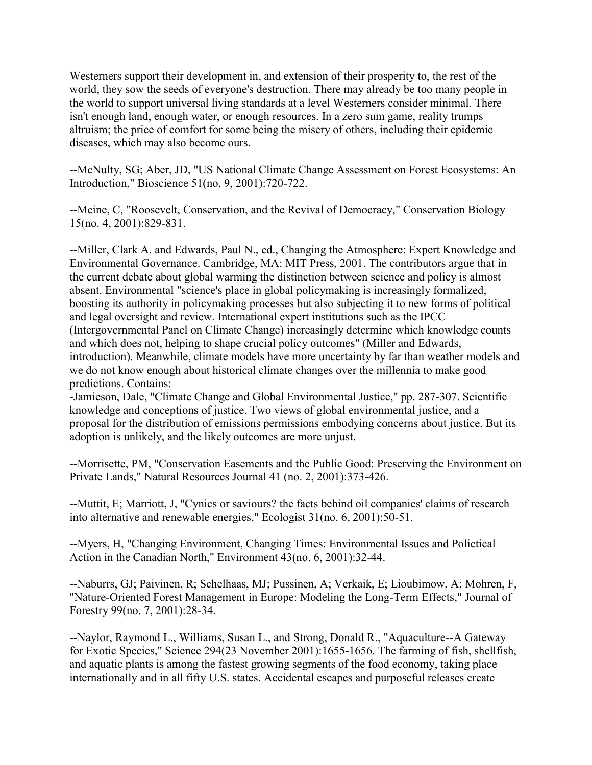Westerners support their development in, and extension of their prosperity to, the rest of the world, they sow the seeds of everyone's destruction. There may already be too many people in the world to support universal living standards at a level Westerners consider minimal. There isn't enough land, enough water, or enough resources. In a zero sum game, reality trumps altruism; the price of comfort for some being the misery of others, including their epidemic diseases, which may also become ours.

--McNulty, SG; Aber, JD, "US National Climate Change Assessment on Forest Ecosystems: An Introduction," Bioscience 51(no, 9, 2001):720-722.

--Meine, C, "Roosevelt, Conservation, and the Revival of Democracy," Conservation Biology 15(no. 4, 2001):829-831.

--Miller, Clark A. and Edwards, Paul N., ed., Changing the Atmosphere: Expert Knowledge and Environmental Governance. Cambridge, MA: MIT Press, 2001. The contributors argue that in the current debate about global warming the distinction between science and policy is almost absent. Environmental "science's place in global policymaking is increasingly formalized, boosting its authority in policymaking processes but also subjecting it to new forms of political and legal oversight and review. International expert institutions such as the IPCC (Intergovernmental Panel on Climate Change) increasingly determine which knowledge counts and which does not, helping to shape crucial policy outcomes" (Miller and Edwards, introduction). Meanwhile, climate models have more uncertainty by far than weather models and we do not know enough about historical climate changes over the millennia to make good predictions. Contains:

-Jamieson, Dale, "Climate Change and Global Environmental Justice," pp. 287-307. Scientific knowledge and conceptions of justice. Two views of global environmental justice, and a proposal for the distribution of emissions permissions embodying concerns about justice. But its adoption is unlikely, and the likely outcomes are more unjust.

--Morrisette, PM, "Conservation Easements and the Public Good: Preserving the Environment on Private Lands," Natural Resources Journal 41 (no. 2, 2001):373-426.

--Muttit, E; Marriott, J, "Cynics or saviours? the facts behind oil companies' claims of research into alternative and renewable energies," Ecologist 31(no. 6, 2001):50-51.

--Myers, H, "Changing Environment, Changing Times: Environmental Issues and Polictical Action in the Canadian North," Environment 43(no. 6, 2001):32-44.

--Naburrs, GJ; Paivinen, R; Schelhaas, MJ; Pussinen, A; Verkaik, E; Lioubimow, A; Mohren, F, "Nature-Oriented Forest Management in Europe: Modeling the Long-Term Effects," Journal of Forestry 99(no. 7, 2001):28-34.

--Naylor, Raymond L., Williams, Susan L., and Strong, Donald R., "Aquaculture--A Gateway for Exotic Species," Science 294(23 November 2001):1655-1656. The farming of fish, shellfish, and aquatic plants is among the fastest growing segments of the food economy, taking place internationally and in all fifty U.S. states. Accidental escapes and purposeful releases create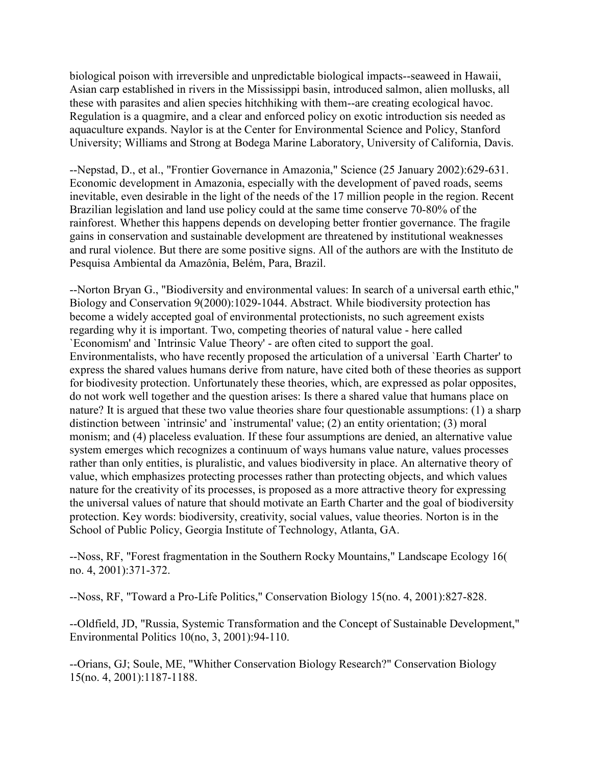biological poison with irreversible and unpredictable biological impacts--seaweed in Hawaii, Asian carp established in rivers in the Mississippi basin, introduced salmon, alien mollusks, all these with parasites and alien species hitchhiking with them--are creating ecological havoc. Regulation is a quagmire, and a clear and enforced policy on exotic introduction sis needed as aquaculture expands. Naylor is at the Center for Environmental Science and Policy, Stanford University; Williams and Strong at Bodega Marine Laboratory, University of California, Davis.

--Nepstad, D., et al., "Frontier Governance in Amazonia," Science (25 January 2002):629-631. Economic development in Amazonia, especially with the development of paved roads, seems inevitable, even desirable in the light of the needs of the 17 million people in the region. Recent Brazilian legislation and land use policy could at the same time conserve 70-80% of the rainforest. Whether this happens depends on developing better frontier governance. The fragile gains in conservation and sustainable development are threatened by institutional weaknesses and rural violence. But there are some positive signs. All of the authors are with the Instituto de Pesquisa Ambiental da Amazônia, Belém, Para, Brazil.

--Norton Bryan G., "Biodiversity and environmental values: In search of a universal earth ethic," Biology and Conservation 9(2000):1029-1044. Abstract. While biodiversity protection has become a widely accepted goal of environmental protectionists, no such agreement exists regarding why it is important. Two, competing theories of natural value - here called `Economism' and `Intrinsic Value Theory' - are often cited to support the goal. Environmentalists, who have recently proposed the articulation of a universal `Earth Charter' to express the shared values humans derive from nature, have cited both of these theories as support for biodivesity protection. Unfortunately these theories, which, are expressed as polar opposites, do not work well together and the question arises: Is there a shared value that humans place on nature? It is argued that these two value theories share four questionable assumptions: (1) a sharp distinction between `intrinsic' and `instrumental' value; (2) an entity orientation; (3) moral monism; and (4) placeless evaluation. If these four assumptions are denied, an alternative value system emerges which recognizes a continuum of ways humans value nature, values processes rather than only entities, is pluralistic, and values biodiversity in place. An alternative theory of value, which emphasizes protecting processes rather than protecting objects, and which values nature for the creativity of its processes, is proposed as a more attractive theory for expressing the universal values of nature that should motivate an Earth Charter and the goal of biodiversity protection. Key words: biodiversity, creativity, social values, value theories. Norton is in the School of Public Policy, Georgia Institute of Technology, Atlanta, GA.

--Noss, RF, "Forest fragmentation in the Southern Rocky Mountains," Landscape Ecology 16( no. 4, 2001):371-372.

--Noss, RF, "Toward a Pro-Life Politics," Conservation Biology 15(no. 4, 2001):827-828.

--Oldfield, JD, "Russia, Systemic Transformation and the Concept of Sustainable Development," Environmental Politics 10(no, 3, 2001):94-110.

--Orians, GJ; Soule, ME, "Whither Conservation Biology Research?" Conservation Biology 15(no. 4, 2001):1187-1188.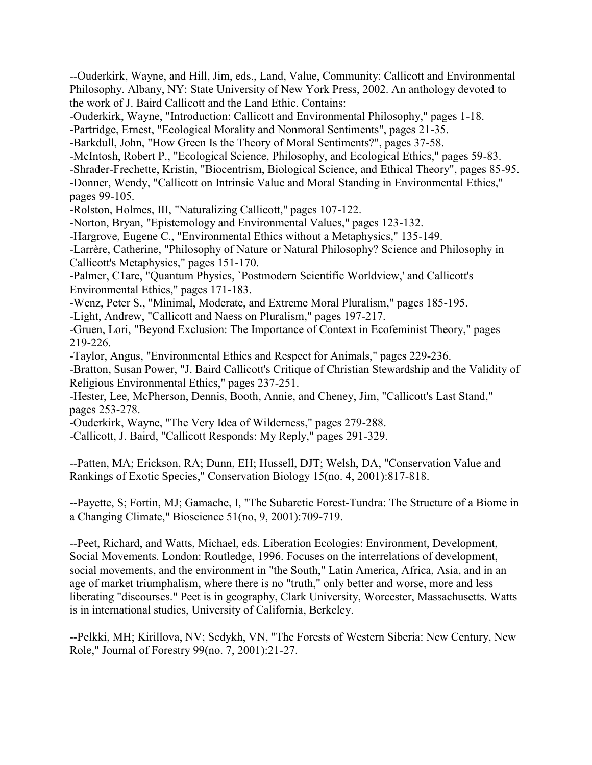--Ouderkirk, Wayne, and Hill, Jim, eds., Land, Value, Community: Callicott and Environmental Philosophy. Albany, NY: State University of New York Press, 2002. An anthology devoted to the work of J. Baird Callicott and the Land Ethic. Contains: -Ouderkirk, Wayne, "Introduction: Callicott and Environmental Philosophy," pages 1-18. -Partridge, Ernest, "Ecological Morality and Nonmoral Sentiments", pages 21-35. -Barkdull, John, "How Green Is the Theory of Moral Sentiments?", pages 37-58. -McIntosh, Robert P., "Ecological Science, Philosophy, and Ecological Ethics," pages 59-83. -Shrader-Frechette, Kristin, "Biocentrism, Biological Science, and Ethical Theory", pages 85-95. -Donner, Wendy, "Callicott on Intrinsic Value and Moral Standing in Environmental Ethics," pages 99-105. -Rolston, Holmes, III, "Naturalizing Callicott," pages 107-122. -Norton, Bryan, "Epistemology and Environmental Values," pages 123-132. -Hargrove, Eugene C., "Environmental Ethics without a Metaphysics," 135-149. -Larrère, Catherine, "Philosophy of Nature or Natural Philosophy? Science and Philosophy in Callicott's Metaphysics," pages 151-170. -Palmer, C1are, "Quantum Physics, `Postmodern Scientific Worldview,' and Callicott's Environmental Ethics," pages 171-183. -Wenz, Peter S., "Minimal, Moderate, and Extreme Moral Pluralism," pages 185-195. -Light, Andrew, "Callicott and Naess on Pluralism," pages 197-217. -Gruen, Lori, "Beyond Exclusion: The Importance of Context in Ecofeminist Theory," pages 219-226. -Taylor, Angus, "Environmental Ethics and Respect for Animals," pages 229-236. -Bratton, Susan Power, "J. Baird Callicott's Critique of Christian Stewardship and the Validity of Religious Environmental Ethics," pages 237-251. -Hester, Lee, McPherson, Dennis, Booth, Annie, and Cheney, Jim, "Callicott's Last Stand," pages 253-278. -Ouderkirk, Wayne, "The Very Idea of Wilderness," pages 279-288. -Callicott, J. Baird, "Callicott Responds: My Reply," pages 291-329. --Patten, MA; Erickson, RA; Dunn, EH; Hussell, DJT; Welsh, DA, "Conservation Value and Rankings of Exotic Species," Conservation Biology 15(no. 4, 2001):817-818. --Payette, S; Fortin, MJ; Gamache, I, "The Subarctic Forest-Tundra: The Structure of a Biome in a Changing Climate," Bioscience 51(no, 9, 2001):709-719. --Peet, Richard, and Watts, Michael, eds. Liberation Ecologies: Environment, Development, Social Movements. London: Routledge, 1996. Focuses on the interrelations of development,

social movements, and the environment in "the South," Latin America, Africa, Asia, and in an age of market triumphalism, where there is no "truth," only better and worse, more and less liberating "discourses." Peet is in geography, Clark University, Worcester, Massachusetts. Watts is in international studies, University of California, Berkeley.

--Pelkki, MH; Kirillova, NV; Sedykh, VN, "The Forests of Western Siberia: New Century, New Role," Journal of Forestry 99(no. 7, 2001):21-27.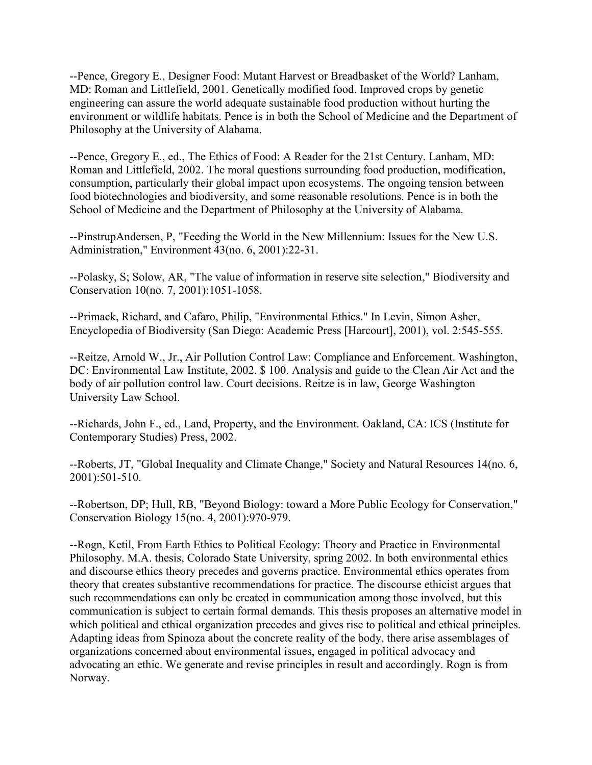--Pence, Gregory E., Designer Food: Mutant Harvest or Breadbasket of the World? Lanham, MD: Roman and Littlefield, 2001. Genetically modified food. Improved crops by genetic engineering can assure the world adequate sustainable food production without hurting the environment or wildlife habitats. Pence is in both the School of Medicine and the Department of Philosophy at the University of Alabama.

--Pence, Gregory E., ed., The Ethics of Food: A Reader for the 21st Century. Lanham, MD: Roman and Littlefield, 2002. The moral questions surrounding food production, modification, consumption, particularly their global impact upon ecosystems. The ongoing tension between food biotechnologies and biodiversity, and some reasonable resolutions. Pence is in both the School of Medicine and the Department of Philosophy at the University of Alabama.

--PinstrupAndersen, P, "Feeding the World in the New Millennium: Issues for the New U.S. Administration," Environment 43(no. 6, 2001):22-31.

--Polasky, S; Solow, AR, "The value of information in reserve site selection," Biodiversity and Conservation 10(no. 7, 2001):1051-1058.

--Primack, Richard, and Cafaro, Philip, "Environmental Ethics." In Levin, Simon Asher, Encyclopedia of Biodiversity (San Diego: Academic Press [Harcourt], 2001), vol. 2:545-555.

--Reitze, Arnold W., Jr., Air Pollution Control Law: Compliance and Enforcement. Washington, DC: Environmental Law Institute, 2002. \$ 100. Analysis and guide to the Clean Air Act and the body of air pollution control law. Court decisions. Reitze is in law, George Washington University Law School.

--Richards, John F., ed., Land, Property, and the Environment. Oakland, CA: ICS (Institute for Contemporary Studies) Press, 2002.

--Roberts, JT, "Global Inequality and Climate Change," Society and Natural Resources 14(no. 6, 2001):501-510.

--Robertson, DP; Hull, RB, "Beyond Biology: toward a More Public Ecology for Conservation," Conservation Biology 15(no. 4, 2001):970-979.

--Rogn, Ketil, From Earth Ethics to Political Ecology: Theory and Practice in Environmental Philosophy. M.A. thesis, Colorado State University, spring 2002. In both environmental ethics and discourse ethics theory precedes and governs practice. Environmental ethics operates from theory that creates substantive recommendations for practice. The discourse ethicist argues that such recommendations can only be created in communication among those involved, but this communication is subject to certain formal demands. This thesis proposes an alternative model in which political and ethical organization precedes and gives rise to political and ethical principles. Adapting ideas from Spinoza about the concrete reality of the body, there arise assemblages of organizations concerned about environmental issues, engaged in political advocacy and advocating an ethic. We generate and revise principles in result and accordingly. Rogn is from Norway.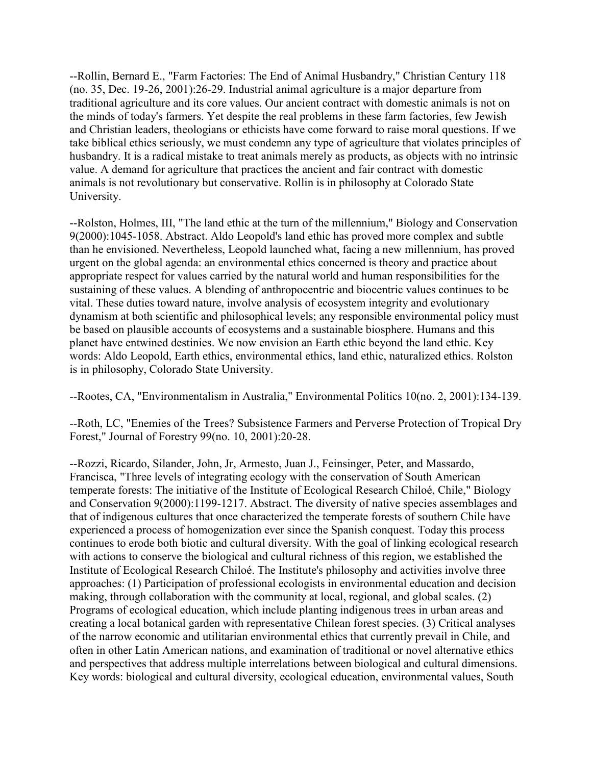--Rollin, Bernard E., "Farm Factories: The End of Animal Husbandry," Christian Century 118 (no. 35, Dec. 19-26, 2001):26-29. Industrial animal agriculture is a major departure from traditional agriculture and its core values. Our ancient contract with domestic animals is not on the minds of today's farmers. Yet despite the real problems in these farm factories, few Jewish and Christian leaders, theologians or ethicists have come forward to raise moral questions. If we take biblical ethics seriously, we must condemn any type of agriculture that violates principles of husbandry. It is a radical mistake to treat animals merely as products, as objects with no intrinsic value. A demand for agriculture that practices the ancient and fair contract with domestic animals is not revolutionary but conservative. Rollin is in philosophy at Colorado State University.

--Rolston, Holmes, III, "The land ethic at the turn of the millennium," Biology and Conservation 9(2000):1045-1058. Abstract. Aldo Leopold's land ethic has proved more complex and subtle than he envisioned. Nevertheless, Leopold launched what, facing a new millennium, has proved urgent on the global agenda: an environmental ethics concerned is theory and practice about appropriate respect for values carried by the natural world and human responsibilities for the sustaining of these values. A blending of anthropocentric and biocentric values continues to be vital. These duties toward nature, involve analysis of ecosystem integrity and evolutionary dynamism at both scientific and philosophical levels; any responsible environmental policy must be based on plausible accounts of ecosystems and a sustainable biosphere. Humans and this planet have entwined destinies. We now envision an Earth ethic beyond the land ethic. Key words: Aldo Leopold, Earth ethics, environmental ethics, land ethic, naturalized ethics. Rolston is in philosophy, Colorado State University.

--Rootes, CA, "Environmentalism in Australia," Environmental Politics 10(no. 2, 2001):134-139.

--Roth, LC, "Enemies of the Trees? Subsistence Farmers and Perverse Protection of Tropical Dry Forest," Journal of Forestry 99(no. 10, 2001):20-28.

--Rozzi, Ricardo, Silander, John, Jr, Armesto, Juan J., Feinsinger, Peter, and Massardo, Francisca, "Three levels of integrating ecology with the conservation of South American temperate forests: The initiative of the Institute of Ecological Research Chiloé, Chile," Biology and Conservation 9(2000):1199-1217. Abstract. The diversity of native species assemblages and that of indigenous cultures that once characterized the temperate forests of southern Chile have experienced a process of homogenization ever since the Spanish conquest. Today this process continues to erode both biotic and cultural diversity. With the goal of linking ecological research with actions to conserve the biological and cultural richness of this region, we established the Institute of Ecological Research Chiloé. The Institute's philosophy and activities involve three approaches: (1) Participation of professional ecologists in environmental education and decision making, through collaboration with the community at local, regional, and global scales. (2) Programs of ecological education, which include planting indigenous trees in urban areas and creating a local botanical garden with representative Chilean forest species. (3) Critical analyses of the narrow economic and utilitarian environmental ethics that currently prevail in Chile, and often in other Latin American nations, and examination of traditional or novel alternative ethics and perspectives that address multiple interrelations between biological and cultural dimensions. Key words: biological and cultural diversity, ecological education, environmental values, South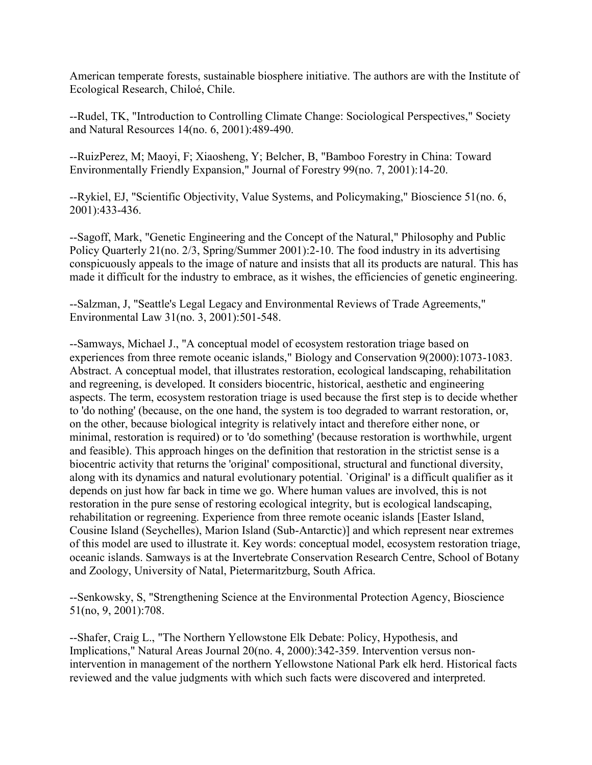American temperate forests, sustainable biosphere initiative. The authors are with the Institute of Ecological Research, Chiloé, Chile.

--Rudel, TK, "Introduction to Controlling Climate Change: Sociological Perspectives," Society and Natural Resources 14(no. 6, 2001):489-490.

--RuizPerez, M; Maoyi, F; Xiaosheng, Y; Belcher, B, "Bamboo Forestry in China: Toward Environmentally Friendly Expansion," Journal of Forestry 99(no. 7, 2001):14-20.

--Rykiel, EJ, "Scientific Objectivity, Value Systems, and Policymaking," Bioscience 51(no. 6, 2001):433-436.

--Sagoff, Mark, "Genetic Engineering and the Concept of the Natural," Philosophy and Public Policy Quarterly 21(no. 2/3, Spring/Summer 2001):2-10. The food industry in its advertising conspicuously appeals to the image of nature and insists that all its products are natural. This has made it difficult for the industry to embrace, as it wishes, the efficiencies of genetic engineering.

--Salzman, J, "Seattle's Legal Legacy and Environmental Reviews of Trade Agreements," Environmental Law 31(no. 3, 2001):501-548.

--Samways, Michael J., "A conceptual model of ecosystem restoration triage based on experiences from three remote oceanic islands," Biology and Conservation 9(2000):1073-1083. Abstract. A conceptual model, that illustrates restoration, ecological landscaping, rehabilitation and regreening, is developed. It considers biocentric, historical, aesthetic and engineering aspects. The term, ecosystem restoration triage is used because the first step is to decide whether to 'do nothing' (because, on the one hand, the system is too degraded to warrant restoration, or, on the other, because biological integrity is relatively intact and therefore either none, or minimal, restoration is required) or to 'do something' (because restoration is worthwhile, urgent and feasible). This approach hinges on the definition that restoration in the strictist sense is a biocentric activity that returns the 'original' compositional, structural and functional diversity, along with its dynamics and natural evolutionary potential. `Original' is a difficult qualifier as it depends on just how far back in time we go. Where human values are involved, this is not restoration in the pure sense of restoring ecological integrity, but is ecological landscaping, rehabilitation or regreening. Experience from three remote oceanic islands [Easter Island, Cousine Island (Seychelles), Marion Island (Sub-Antarctic)] and which represent near extremes of this model are used to illustrate it. Key words: conceptual model, ecosystem restoration triage, oceanic islands. Samways is at the Invertebrate Conservation Research Centre, School of Botany and Zoology, University of Natal, Pietermaritzburg, South Africa.

--Senkowsky, S, "Strengthening Science at the Environmental Protection Agency, Bioscience 51(no, 9, 2001):708.

--Shafer, Craig L., "The Northern Yellowstone Elk Debate: Policy, Hypothesis, and Implications," Natural Areas Journal 20(no. 4, 2000):342-359. Intervention versus nonintervention in management of the northern Yellowstone National Park elk herd. Historical facts reviewed and the value judgments with which such facts were discovered and interpreted.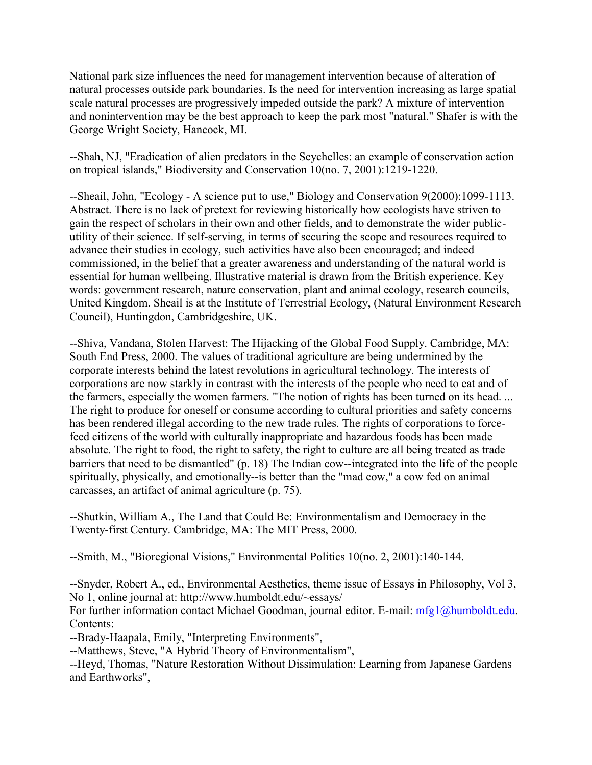National park size influences the need for management intervention because of alteration of natural processes outside park boundaries. Is the need for intervention increasing as large spatial scale natural processes are progressively impeded outside the park? A mixture of intervention and nonintervention may be the best approach to keep the park most "natural." Shafer is with the George Wright Society, Hancock, MI.

--Shah, NJ, "Eradication of alien predators in the Seychelles: an example of conservation action on tropical islands," Biodiversity and Conservation 10(no. 7, 2001):1219-1220.

--Sheail, John, "Ecology - A science put to use," Biology and Conservation 9(2000):1099-1113. Abstract. There is no lack of pretext for reviewing historically how ecologists have striven to gain the respect of scholars in their own and other fields, and to demonstrate the wider publicutility of their science. If self-serving, in terms of securing the scope and resources required to advance their studies in ecology, such activities have also been encouraged; and indeed commissioned, in the belief that a greater awareness and understanding of the natural world is essential for human wellbeing. Illustrative material is drawn from the British experience. Key words: government research, nature conservation, plant and animal ecology, research councils, United Kingdom. Sheail is at the Institute of Terrestrial Ecology, (Natural Environment Research Council), Huntingdon, Cambridgeshire, UK.

--Shiva, Vandana, Stolen Harvest: The Hijacking of the Global Food Supply. Cambridge, MA: South End Press, 2000. The values of traditional agriculture are being undermined by the corporate interests behind the latest revolutions in agricultural technology. The interests of corporations are now starkly in contrast with the interests of the people who need to eat and of the farmers, especially the women farmers. "The notion of rights has been turned on its head. ... The right to produce for oneself or consume according to cultural priorities and safety concerns has been rendered illegal according to the new trade rules. The rights of corporations to forcefeed citizens of the world with culturally inappropriate and hazardous foods has been made absolute. The right to food, the right to safety, the right to culture are all being treated as trade barriers that need to be dismantled" (p. 18) The Indian cow--integrated into the life of the people spiritually, physically, and emotionally--is better than the "mad cow," a cow fed on animal carcasses, an artifact of animal agriculture (p. 75).

--Shutkin, William A., The Land that Could Be: Environmentalism and Democracy in the Twenty-first Century. Cambridge, MA: The MIT Press, 2000.

--Smith, M., "Bioregional Visions," Environmental Politics 10(no. 2, 2001):140-144.

--Snyder, Robert A., ed., Environmental Aesthetics, theme issue of Essays in Philosophy, Vol 3, No 1, online journal at: http://www.humboldt.edu/~essays/

For further information contact Michael Goodman, journal editor. E-mail: [mfg1@humboldt.edu.](mailto:mfg1@humboldt.edu) Contents:

--Brady-Haapala, Emily, "Interpreting Environments",

--Matthews, Steve, "A Hybrid Theory of Environmentalism",

--Heyd, Thomas, "Nature Restoration Without Dissimulation: Learning from Japanese Gardens and Earthworks",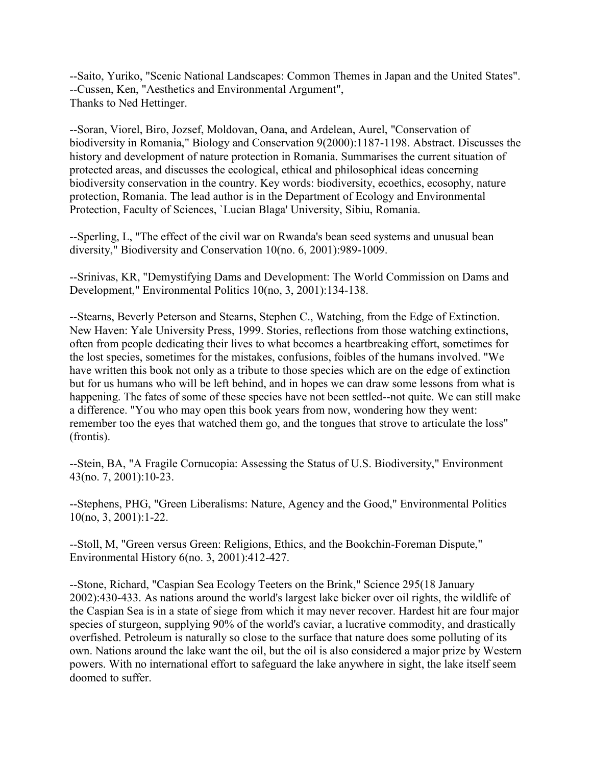--Saito, Yuriko, "Scenic National Landscapes: Common Themes in Japan and the United States". --Cussen, Ken, "Aesthetics and Environmental Argument", Thanks to Ned Hettinger.

--Soran, Viorel, Biro, Jozsef, Moldovan, Oana, and Ardelean, Aurel, "Conservation of biodiversity in Romania," Biology and Conservation 9(2000):1187-1198. Abstract. Discusses the history and development of nature protection in Romania. Summarises the current situation of protected areas, and discusses the ecological, ethical and philosophical ideas concerning biodiversity conservation in the country. Key words: biodiversity, ecoethics, ecosophy, nature protection, Romania. The lead author is in the Department of Ecology and Environmental Protection, Faculty of Sciences, `Lucian Blaga' University, Sibiu, Romania.

--Sperling, L, "The effect of the civil war on Rwanda's bean seed systems and unusual bean diversity," Biodiversity and Conservation 10(no. 6, 2001):989-1009.

--Srinivas, KR, "Demystifying Dams and Development: The World Commission on Dams and Development," Environmental Politics 10(no, 3, 2001):134-138.

--Stearns, Beverly Peterson and Stearns, Stephen C., Watching, from the Edge of Extinction. New Haven: Yale University Press, 1999. Stories, reflections from those watching extinctions, often from people dedicating their lives to what becomes a heartbreaking effort, sometimes for the lost species, sometimes for the mistakes, confusions, foibles of the humans involved. "We have written this book not only as a tribute to those species which are on the edge of extinction but for us humans who will be left behind, and in hopes we can draw some lessons from what is happening. The fates of some of these species have not been settled--not quite. We can still make a difference. "You who may open this book years from now, wondering how they went: remember too the eyes that watched them go, and the tongues that strove to articulate the loss" (frontis).

--Stein, BA, "A Fragile Cornucopia: Assessing the Status of U.S. Biodiversity," Environment 43(no. 7, 2001):10-23.

--Stephens, PHG, "Green Liberalisms: Nature, Agency and the Good," Environmental Politics 10(no, 3, 2001):1-22.

--Stoll, M, "Green versus Green: Religions, Ethics, and the Bookchin-Foreman Dispute," Environmental History 6(no. 3, 2001):412-427.

--Stone, Richard, "Caspian Sea Ecology Teeters on the Brink," Science 295(18 January 2002):430-433. As nations around the world's largest lake bicker over oil rights, the wildlife of the Caspian Sea is in a state of siege from which it may never recover. Hardest hit are four major species of sturgeon, supplying 90% of the world's caviar, a lucrative commodity, and drastically overfished. Petroleum is naturally so close to the surface that nature does some polluting of its own. Nations around the lake want the oil, but the oil is also considered a major prize by Western powers. With no international effort to safeguard the lake anywhere in sight, the lake itself seem doomed to suffer.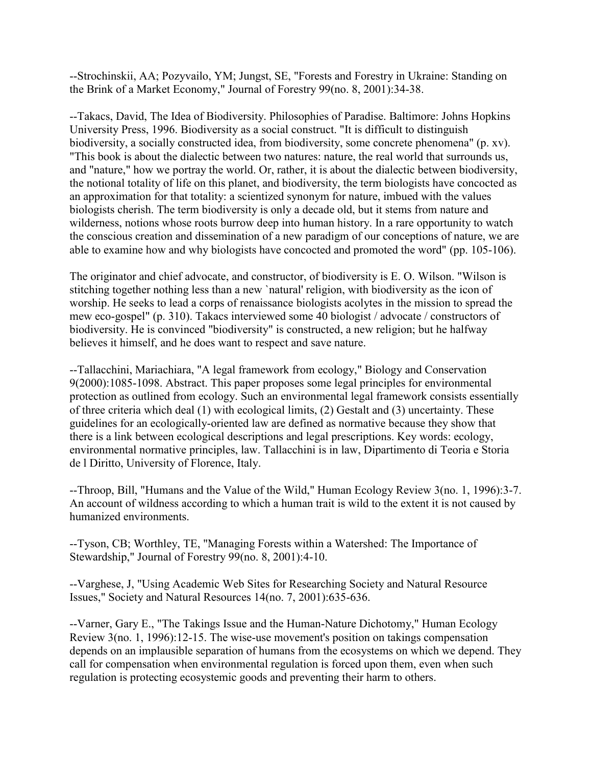--Strochinskii, AA; Pozyvailo, YM; Jungst, SE, "Forests and Forestry in Ukraine: Standing on the Brink of a Market Economy," Journal of Forestry 99(no. 8, 2001):34-38.

--Takacs, David, The Idea of Biodiversity. Philosophies of Paradise. Baltimore: Johns Hopkins University Press, 1996. Biodiversity as a social construct. "It is difficult to distinguish biodiversity, a socially constructed idea, from biodiversity, some concrete phenomena" (p. xv). "This book is about the dialectic between two natures: nature, the real world that surrounds us, and "nature," how we portray the world. Or, rather, it is about the dialectic between biodiversity, the notional totality of life on this planet, and biodiversity, the term biologists have concocted as an approximation for that totality: a scientized synonym for nature, imbued with the values biologists cherish. The term biodiversity is only a decade old, but it stems from nature and wilderness, notions whose roots burrow deep into human history. In a rare opportunity to watch the conscious creation and dissemination of a new paradigm of our conceptions of nature, we are able to examine how and why biologists have concocted and promoted the word" (pp. 105-106).

The originator and chief advocate, and constructor, of biodiversity is E. O. Wilson. "Wilson is stitching together nothing less than a new `natural' religion, with biodiversity as the icon of worship. He seeks to lead a corps of renaissance biologists acolytes in the mission to spread the mew eco-gospel" (p. 310). Takacs interviewed some 40 biologist / advocate / constructors of biodiversity. He is convinced "biodiversity" is constructed, a new religion; but he halfway believes it himself, and he does want to respect and save nature.

--Tallacchini, Mariachiara, "A legal framework from ecology," Biology and Conservation 9(2000):1085-1098. Abstract. This paper proposes some legal principles for environmental protection as outlined from ecology. Such an environmental legal framework consists essentially of three criteria which deal (1) with ecological limits, (2) Gestalt and (3) uncertainty. These guidelines for an ecologically-oriented law are defined as normative because they show that there is a link between ecological descriptions and legal prescriptions. Key words: ecology, environmental normative principles, law. Tallacchini is in law, Dipartimento di Teoria e Storia de l Diritto, University of Florence, Italy.

--Throop, Bill, "Humans and the Value of the Wild," Human Ecology Review 3(no. 1, 1996):3-7. An account of wildness according to which a human trait is wild to the extent it is not caused by humanized environments.

--Tyson, CB; Worthley, TE, "Managing Forests within a Watershed: The Importance of Stewardship," Journal of Forestry 99(no. 8, 2001):4-10.

--Varghese, J, "Using Academic Web Sites for Researching Society and Natural Resource Issues," Society and Natural Resources 14(no. 7, 2001):635-636.

--Varner, Gary E., "The Takings Issue and the Human-Nature Dichotomy," Human Ecology Review 3(no. 1, 1996):12-15. The wise-use movement's position on takings compensation depends on an implausible separation of humans from the ecosystems on which we depend. They call for compensation when environmental regulation is forced upon them, even when such regulation is protecting ecosystemic goods and preventing their harm to others.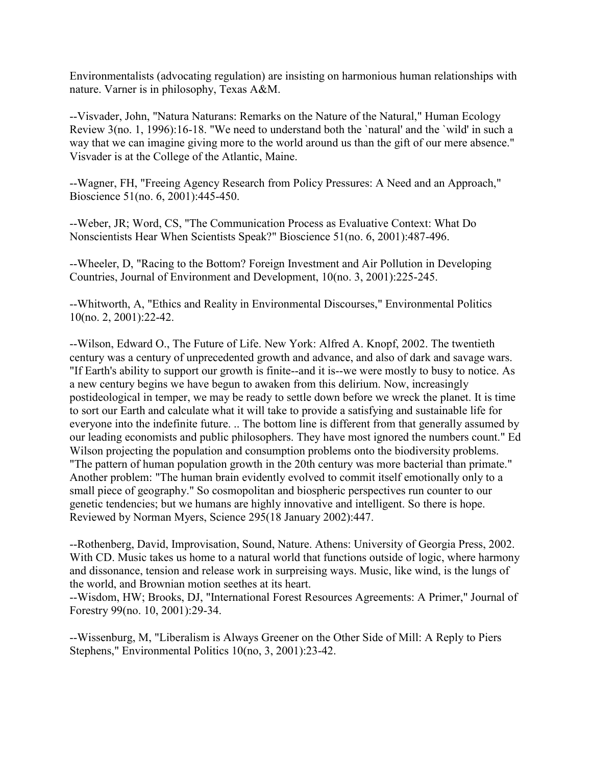Environmentalists (advocating regulation) are insisting on harmonious human relationships with nature. Varner is in philosophy, Texas A&M.

--Visvader, John, "Natura Naturans: Remarks on the Nature of the Natural," Human Ecology Review 3(no. 1, 1996):16-18. "We need to understand both the `natural' and the `wild' in such a way that we can imagine giving more to the world around us than the gift of our mere absence." Visvader is at the College of the Atlantic, Maine.

--Wagner, FH, "Freeing Agency Research from Policy Pressures: A Need and an Approach," Bioscience 51(no. 6, 2001):445-450.

--Weber, JR; Word, CS, "The Communication Process as Evaluative Context: What Do Nonscientists Hear When Scientists Speak?" Bioscience 51(no. 6, 2001):487-496.

--Wheeler, D, "Racing to the Bottom? Foreign Investment and Air Pollution in Developing Countries, Journal of Environment and Development, 10(no. 3, 2001):225-245.

--Whitworth, A, "Ethics and Reality in Environmental Discourses," Environmental Politics 10(no. 2, 2001):22-42.

--Wilson, Edward O., The Future of Life. New York: Alfred A. Knopf, 2002. The twentieth century was a century of unprecedented growth and advance, and also of dark and savage wars. "If Earth's ability to support our growth is finite--and it is--we were mostly to busy to notice. As a new century begins we have begun to awaken from this delirium. Now, increasingly postideological in temper, we may be ready to settle down before we wreck the planet. It is time to sort our Earth and calculate what it will take to provide a satisfying and sustainable life for everyone into the indefinite future. .. The bottom line is different from that generally assumed by our leading economists and public philosophers. They have most ignored the numbers count." Ed Wilson projecting the population and consumption problems onto the biodiversity problems. "The pattern of human population growth in the 20th century was more bacterial than primate." Another problem: "The human brain evidently evolved to commit itself emotionally only to a small piece of geography." So cosmopolitan and biospheric perspectives run counter to our genetic tendencies; but we humans are highly innovative and intelligent. So there is hope. Reviewed by Norman Myers, Science 295(18 January 2002):447.

--Rothenberg, David, Improvisation, Sound, Nature. Athens: University of Georgia Press, 2002. With CD. Music takes us home to a natural world that functions outside of logic, where harmony and dissonance, tension and release work in surpreising ways. Music, like wind, is the lungs of the world, and Brownian motion seethes at its heart.

--Wisdom, HW; Brooks, DJ, "International Forest Resources Agreements: A Primer," Journal of Forestry 99(no. 10, 2001):29-34.

--Wissenburg, M, "Liberalism is Always Greener on the Other Side of Mill: A Reply to Piers Stephens," Environmental Politics 10(no, 3, 2001):23-42.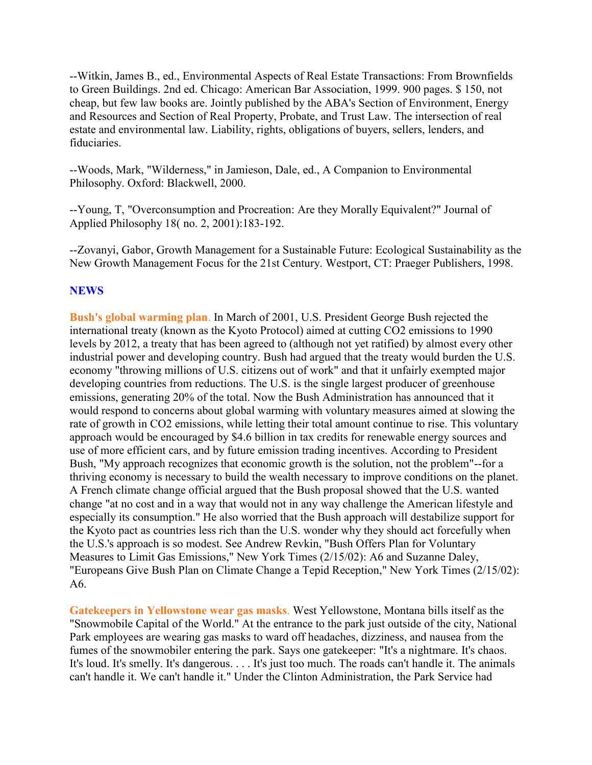--Witkin, James B., ed., Environmental Aspects of Real Estate Transactions: From Brownfields to Green Buildings. 2nd ed. Chicago: American Bar Association, 1999. 900 pages. \$ 150, not cheap, but few law books are. Jointly published by the ABA's Section of Environment, Energy and Resources and Section of Real Property, Probate, and Trust Law. The intersection of real estate and environmental law. Liability, rights, obligations of buyers, sellers, lenders, and fiduciaries.

--Woods, Mark, "Wilderness," in Jamieson, Dale, ed., A Companion to Environmental Philosophy. Oxford: Blackwell, 2000.

--Young, T, "Overconsumption and Procreation: Are they Morally Equivalent?" Journal of Applied Philosophy 18( no. 2, 2001):183-192.

--Zovanyi, Gabor, Growth Management for a Sustainable Future: Ecological Sustainability as the New Growth Management Focus for the 21st Century. Westport, CT: Praeger Publishers, 1998.

#### **NEWS**

**Bush's global warming plan**. In March of 2001, U.S. President George Bush rejected the international treaty (known as the Kyoto Protocol) aimed at cutting CO2 emissions to 1990 levels by 2012, a treaty that has been agreed to (although not yet ratified) by almost every other industrial power and developing country. Bush had argued that the treaty would burden the U.S. economy "throwing millions of U.S. citizens out of work" and that it unfairly exempted major developing countries from reductions. The U.S. is the single largest producer of greenhouse emissions, generating 20% of the total. Now the Bush Administration has announced that it would respond to concerns about global warming with voluntary measures aimed at slowing the rate of growth in CO2 emissions, while letting their total amount continue to rise. This voluntary approach would be encouraged by \$4.6 billion in tax credits for renewable energy sources and use of more efficient cars, and by future emission trading incentives. According to President Bush, "My approach recognizes that economic growth is the solution, not the problem"--for a thriving economy is necessary to build the wealth necessary to improve conditions on the planet. A French climate change official argued that the Bush proposal showed that the U.S. wanted change "at no cost and in a way that would not in any way challenge the American lifestyle and especially its consumption." He also worried that the Bush approach will destabilize support for the Kyoto pact as countries less rich than the U.S. wonder why they should act forcefully when the U.S.'s approach is so modest. See Andrew Revkin, "Bush Offers Plan for Voluntary Measures to Limit Gas Emissions," New York Times (2/15/02): A6 and Suzanne Daley, "Europeans Give Bush Plan on Climate Change a Tepid Reception," New York Times (2/15/02): A6.

**Gatekeepers in Yellowstone wear gas masks**. West Yellowstone, Montana bills itself as the "Snowmobile Capital of the World." At the entrance to the park just outside of the city, National Park employees are wearing gas masks to ward off headaches, dizziness, and nausea from the fumes of the snowmobiler entering the park. Says one gatekeeper: "It's a nightmare. It's chaos. It's loud. It's smelly. It's dangerous. . . . It's just too much. The roads can't handle it. The animals can't handle it. We can't handle it." Under the Clinton Administration, the Park Service had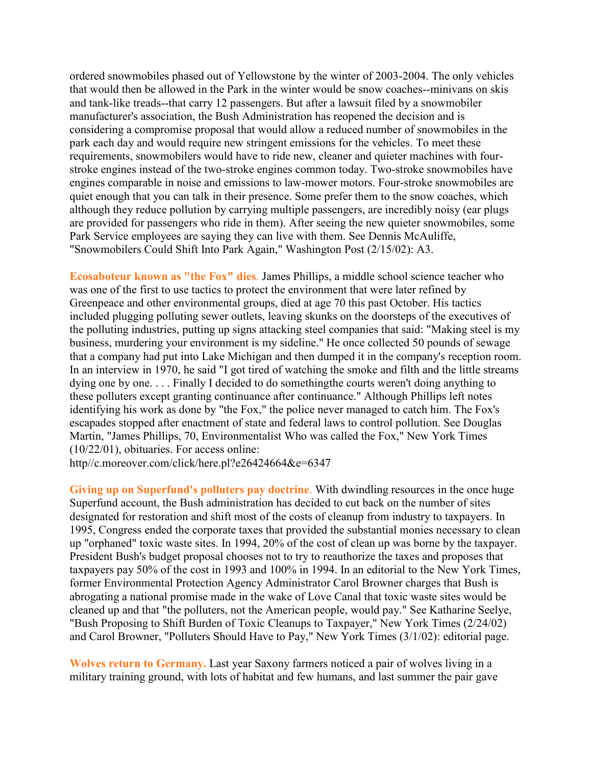ordered snowmobiles phased out of Yellowstone by the winter of 2003-2004. The only vehicles that would then be allowed in the Park in the winter would be snow coaches--minivans on skis and tank-like treads--that carry 12 passengers. But after a lawsuit filed by a snowmobiler manufacturer's association, the Bush Administration has reopened the decision and is considering a compromise proposal that would allow a reduced number of snowmobiles in the park each day and would require new stringent emissions for the vehicles. To meet these requirements, snowmobilers would have to ride new, cleaner and quieter machines with fourstroke engines instead of the two-stroke engines common today. Two-stroke snowmobiles have engines comparable in noise and emissions to law-mower motors. Four-stroke snowmobiles are quiet enough that you can talk in their presence. Some prefer them to the snow coaches, which although they reduce pollution by carrying multiple passengers, are incredibly noisy (ear plugs are provided for passengers who ride in them). After seeing the new quieter snowmobiles, some Park Service employees are saying they can live with them. See Dennis McAuliffe, "Snowmobilers Could Shift Into Park Again," Washington Post (2/15/02): A3.

**Ecosaboteur known as "the Fox" dies**. James Phillips, a middle school science teacher who was one of the first to use tactics to protect the environment that were later refined by Greenpeace and other environmental groups, died at age 70 this past October. His tactics included plugging polluting sewer outlets, leaving skunks on the doorsteps of the executives of the polluting industries, putting up signs attacking steel companies that said: "Making steel is my business, murdering your environment is my sideline." He once collected 50 pounds of sewage that a company had put into Lake Michigan and then dumped it in the company's reception room. In an interview in 1970, he said "I got tired of watching the smoke and filth and the little streams dying one by one. . . . Finally I decided to do somethingthe courts weren't doing anything to these polluters except granting continuance after continuance." Although Phillips left notes identifying his work as done by "the Fox," the police never managed to catch him. The Fox's escapades stopped after enactment of state and federal laws to control pollution. See Douglas Martin, "James Phillips, 70, Environmentalist Who was called the Fox," New York Times (10/22/01), obituaries. For access online:

http//c.moreover.com/click/here.pl?e26424664&e=6347

**Giving up on Superfund's polluters pay doctrine**. With dwindling resources in the once huge Superfund account, the Bush administration has decided to cut back on the number of sites designated for restoration and shift most of the costs of cleanup from industry to taxpayers. In 1995, Congress ended the corporate taxes that provided the substantial monies necessary to clean up "orphaned" toxic waste sites. In 1994, 20% of the cost of clean up was borne by the taxpayer. President Bush's budget proposal chooses not to try to reauthorize the taxes and proposes that taxpayers pay 50% of the cost in 1993 and 100% in 1994. In an editorial to the New York Times, former Environmental Protection Agency Administrator Carol Browner charges that Bush is abrogating a national promise made in the wake of Love Canal that toxic waste sites would be cleaned up and that "the polluters, not the American people, would pay." See Katharine Seelye, "Bush Proposing to Shift Burden of Toxic Cleanups to Taxpayer," New York Times (2/24/02) and Carol Browner, "Polluters Should Have to Pay," New York Times (3/1/02): editorial page.

**Wolves return to Germany.** Last year Saxony farmers noticed a pair of wolves living in a military training ground, with lots of habitat and few humans, and last summer the pair gave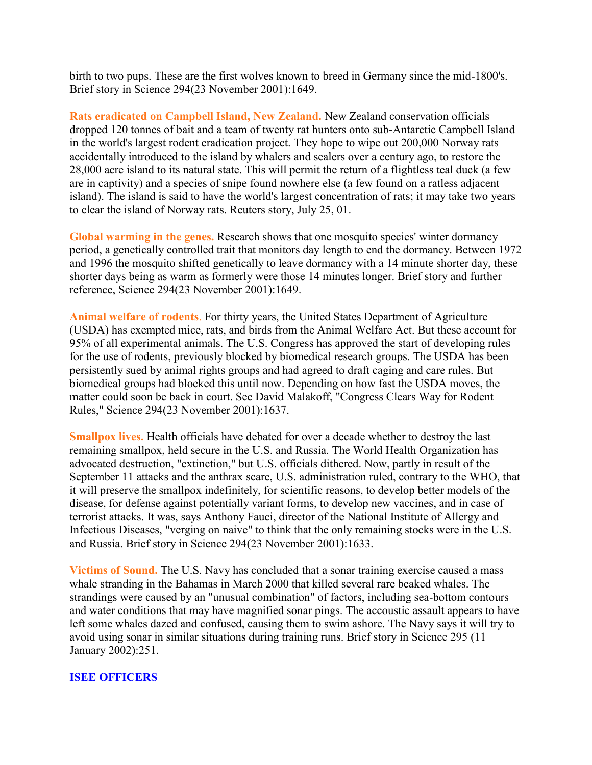birth to two pups. These are the first wolves known to breed in Germany since the mid-1800's. Brief story in Science 294(23 November 2001):1649.

**Rats eradicated on Campbell Island, New Zealand.** New Zealand conservation officials dropped 120 tonnes of bait and a team of twenty rat hunters onto sub-Antarctic Campbell Island in the world's largest rodent eradication project. They hope to wipe out 200,000 Norway rats accidentally introduced to the island by whalers and sealers over a century ago, to restore the 28,000 acre island to its natural state. This will permit the return of a flightless teal duck (a few are in captivity) and a species of snipe found nowhere else (a few found on a ratless adjacent island). The island is said to have the world's largest concentration of rats; it may take two years to clear the island of Norway rats. Reuters story, July 25, 01.

**Global warming in the genes.** Research shows that one mosquito species' winter dormancy period, a genetically controlled trait that monitors day length to end the dormancy. Between 1972 and 1996 the mosquito shifted genetically to leave dormancy with a 14 minute shorter day, these shorter days being as warm as formerly were those 14 minutes longer. Brief story and further reference, Science 294(23 November 2001):1649.

**Animal welfare of rodents**. For thirty years, the United States Department of Agriculture (USDA) has exempted mice, rats, and birds from the Animal Welfare Act. But these account for 95% of all experimental animals. The U.S. Congress has approved the start of developing rules for the use of rodents, previously blocked by biomedical research groups. The USDA has been persistently sued by animal rights groups and had agreed to draft caging and care rules. But biomedical groups had blocked this until now. Depending on how fast the USDA moves, the matter could soon be back in court. See David Malakoff, "Congress Clears Way for Rodent Rules," Science 294(23 November 2001):1637.

**Smallpox lives.** Health officials have debated for over a decade whether to destroy the last remaining smallpox, held secure in the U.S. and Russia. The World Health Organization has advocated destruction, "extinction," but U.S. officials dithered. Now, partly in result of the September 11 attacks and the anthrax scare, U.S. administration ruled, contrary to the WHO, that it will preserve the smallpox indefinitely, for scientific reasons, to develop better models of the disease, for defense against potentially variant forms, to develop new vaccines, and in case of terrorist attacks. It was, says Anthony Fauci, director of the National Institute of Allergy and Infectious Diseases, "verging on naive" to think that the only remaining stocks were in the U.S. and Russia. Brief story in Science 294(23 November 2001):1633.

**Victims of Sound.** The U.S. Navy has concluded that a sonar training exercise caused a mass whale stranding in the Bahamas in March 2000 that killed several rare beaked whales. The strandings were caused by an "unusual combination" of factors, including sea-bottom contours and water conditions that may have magnified sonar pings. The accoustic assault appears to have left some whales dazed and confused, causing them to swim ashore. The Navy says it will try to avoid using sonar in similar situations during training runs. Brief story in Science 295 (11 January 2002):251.

#### **ISEE OFFICERS**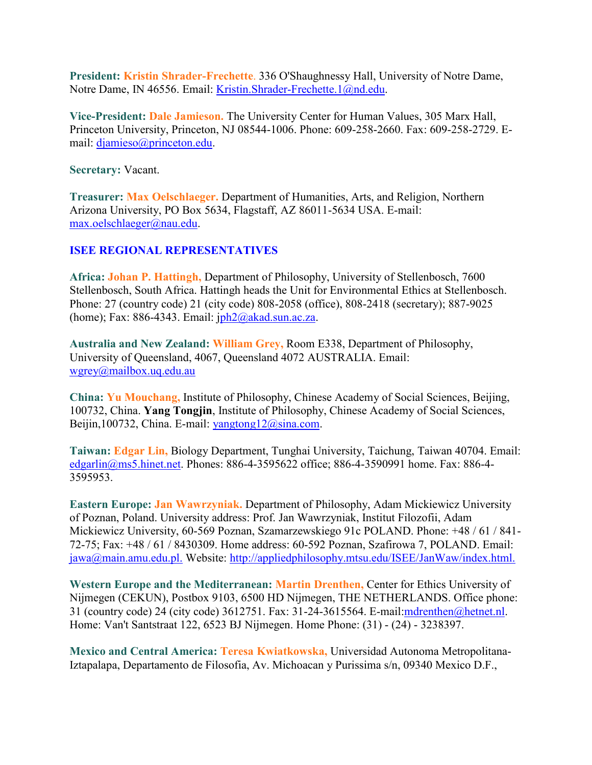**President: Kristin Shrader-Frechette**. 336 O'Shaughnessy Hall, University of Notre Dame, Notre Dame, IN 46556. Email: [Kristin.Shrader-Frechette.1@nd.edu.](mailto:Kristin.Shrader-Frechette.1@nd.edu)

**Vice-President: Dale Jamieson.** The University Center for Human Values, 305 Marx Hall, Princeton University, Princeton, NJ 08544-1006. Phone: 609-258-2660. Fax: 609-258-2729. Email: [djamieso@princeton.edu.](mailto:djamieso@princeton.edu)

**Secretary:** Vacant.

**Treasurer: Max Oelschlaeger.** Department of Humanities, Arts, and Religion, Northern Arizona University, PO Box 5634, Flagstaff, AZ 86011-5634 USA. E-mail: [max.oelschlaeger@nau.edu.](mailto:max.oelschlaeger@nau.edu)

#### **ISEE REGIONAL REPRESENTATIVES**

**Africa: Johan P. Hattingh,** Department of Philosophy, University of Stellenbosch, 7600 Stellenbosch, South Africa. Hattingh heads the Unit for Environmental Ethics at Stellenbosch. Phone: 27 (country code) 21 (city code) 808-2058 (office), 808-2418 (secretary); 887-9025 (home); Fax: 886-4343. Email:  $iph2@akad.sun.ac.za$ .

**Australia and New Zealand: William Grey,** Room E338, Department of Philosophy, University of Queensland, 4067, Queensland 4072 AUSTRALIA. Email: [wgrey@mailbox.uq.edu.au](mailto:wgrey@mailbox.uq.edu.au)

**China: Yu Mouchang,** Institute of Philosophy, Chinese Academy of Social Sciences, Beijing, 100732, China. **Yang Tongjin**, Institute of Philosophy, Chinese Academy of Social Sciences, Beijin,100732, China. E-mail: [yangtong12@sina.com.](mailto:yangtong12@sina.com)

**Taiwan: Edgar Lin,** Biology Department, Tunghai University, Taichung, Taiwan 40704. Email: [edgarlin@ms5.hinet.net.](mailto:edgarlin@ms5.hinet.net) Phones: 886-4-3595622 office; 886-4-3590991 home. Fax: 886-4- 3595953.

**Eastern Europe: Jan Wawrzyniak.** Department of Philosophy, Adam Mickiewicz University of Poznan, Poland. University address: Prof. Jan Wawrzyniak, Institut Filozofii, Adam Mickiewicz University, 60-569 Poznan, Szamarzewskiego 91c POLAND. Phone: +48 / 61 / 841- 72-75; Fax: +48 / 61 / 8430309. Home address: 60-592 Poznan, Szafirowa 7, POLAND. Email: [jawa@main.amu.edu.pl.](mailto:jawa@main.amu.edu.pl.) Website:<http://appliedphilosophy.mtsu.edu/ISEE/JanWaw/index.html.>

**Western Europe and the Mediterranean: Martin Drenthen,** Center for Ethics University of Nijmegen (CEKUN), Postbox 9103, 6500 HD Nijmegen, THE NETHERLANDS. Office phone: 31 (country code) 24 (city code) 3612751. Fax: 31-24-3615564. E-mail[:mdrenthen@hetnet.nl.](mailto:mdrenthen@hetnet.nl) Home: Van't Santstraat 122, 6523 BJ Nijmegen. Home Phone: (31) - (24) - 3238397.

**Mexico and Central America: Teresa Kwiatkowska,** Universidad Autonoma Metropolitana-Iztapalapa, Departamento de Filosofia, Av. Michoacan y Purissima s/n, 09340 Mexico D.F.,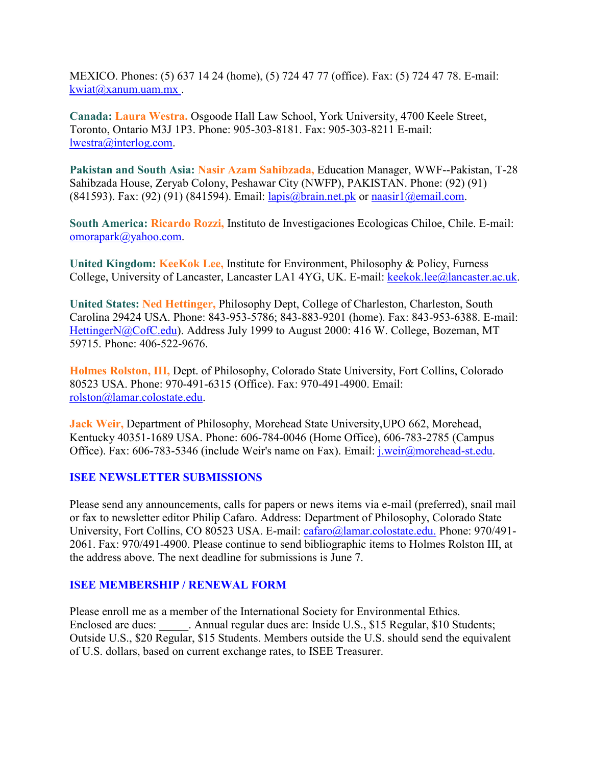MEXICO. Phones: (5) 637 14 24 (home), (5) 724 47 77 (office). Fax: (5) 724 47 78. E-mail: [kwiat@xanum.uam.mx .](mailto:kwiat@xanum.uam.mx)

**Canada: Laura Westra.** Osgoode Hall Law School, York University, 4700 Keele Street, Toronto, Ontario M3J 1P3. Phone: 905-303-8181. Fax: 905-303-8211 E-mail: [lwestra@interlog.com.](mailto:lwestra@interlog.com)

**Pakistan and South Asia: Nasir Azam Sahibzada,** Education Manager, WWF--Pakistan, T-28 Sahibzada House, Zeryab Colony, Peshawar City (NWFP), PAKISTAN. Phone: (92) (91) (841593). Fax: (92) (91) (841594). Email:  $l$ apis@brain.net.pk or naasir $l$ @email.com.

**South America: Ricardo Rozzi,** Instituto de Investigaciones Ecologicas Chiloe, Chile. E-mail: [omorapark@yahoo.com.](mailto:omorapark@yahoo.com)

**United Kingdom: KeeKok Lee,** Institute for Environment, Philosophy & Policy, Furness College, University of Lancaster, Lancaster LA1 4YG, UK. E-mail: [keekok.lee@lancaster.ac.uk.](mailto:keekok.lee@lancaster.ac.uk)

**United States: Ned Hettinger,** Philosophy Dept, College of Charleston, Charleston, South Carolina 29424 USA. Phone: 843-953-5786; 843-883-9201 (home). Fax: 843-953-6388. E-mail: [HettingerN@CofC.edu\)](mailto:HettingerN@CofC.edu). Address July 1999 to August 2000: 416 W. College, Bozeman, MT 59715. Phone: 406-522-9676.

**Holmes Rolston, III,** Dept. of Philosophy, Colorado State University, Fort Collins, Colorado 80523 USA. Phone: 970-491-6315 (Office). Fax: 970-491-4900. Email: [rolston@lamar.colostate.edu.](mailto:rolston@lamar.colostate.edu)

**Jack Weir,** Department of Philosophy, Morehead State University,UPO 662, Morehead, Kentucky 40351-1689 USA. Phone: 606-784-0046 (Home Office), 606-783-2785 (Campus Office). Fax: 606-783-5346 (include Weir's name on Fax). Email: *j.weir@morehead-st.edu.* 

#### **ISEE NEWSLETTER SUBMISSIONS**

Please send any announcements, calls for papers or news items via e-mail (preferred), snail mail or fax to newsletter editor Philip Cafaro. Address: Department of Philosophy, Colorado State University, Fort Collins, CO 80523 USA. E-mail: [cafaro@lamar.colostate.edu.](mailto:cafaro@lamar.colostate.edu.) Phone: 970/491- 2061. Fax: 970/491-4900. Please continue to send bibliographic items to Holmes Rolston III, at the address above. The next deadline for submissions is June 7.

#### **ISEE MEMBERSHIP / RENEWAL FORM**

Please enroll me as a member of the International Society for Environmental Ethics. Enclosed are dues: Annual regular dues are: Inside U.S., \$15 Regular, \$10 Students; Outside U.S., \$20 Regular, \$15 Students. Members outside the U.S. should send the equivalent of U.S. dollars, based on current exchange rates, to ISEE Treasurer.